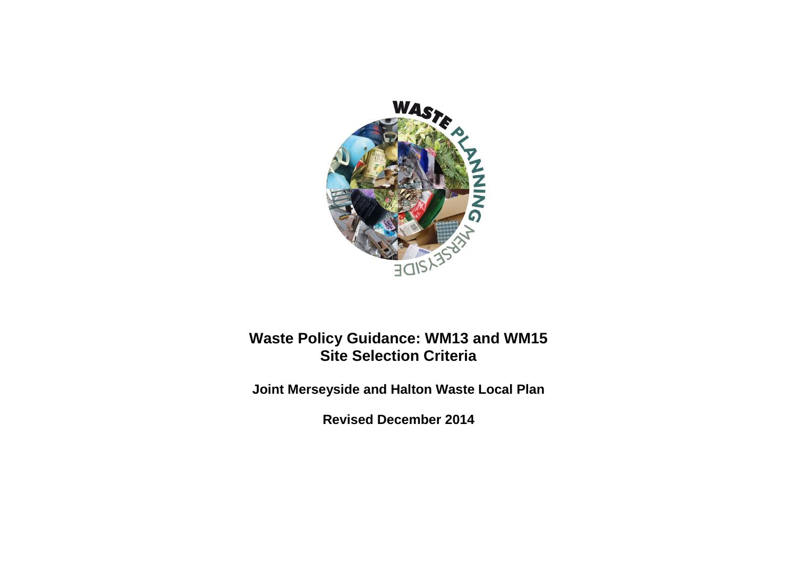

# **Waste Policy Guidance: WM13 and WM15 Site Selection Criteria**

**Joint Merseyside and Halton Waste Local Plan**

**Revised December 2014**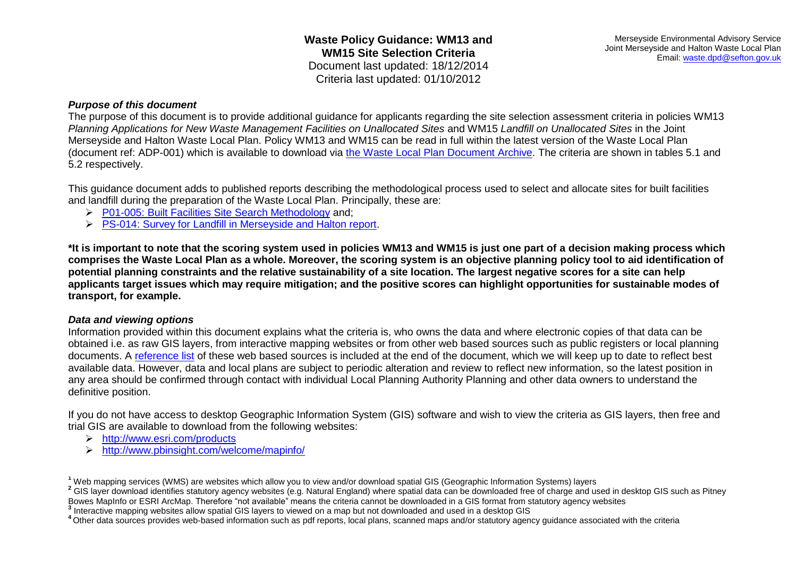#### *Purpose of this document*

The purpose of this document is to provide additional guidance for applicants regarding the site selection assessment criteria in policies WM13 *Planning Applications for New Waste Management Facilities on Unallocated Sites* and WM15 *Landfill on Unallocated Sites* in the Joint Merseyside and Halton Waste Local Plan. Policy WM13 and WM15 can be read in full within the latest version of the Waste Local Plan (document ref: ADP-001) which is available to download via [the Waste Local Plan Document Archive.](http://www.wasteplanningmerseyside.gov.uk/supporting-documents.aspx) The criteria are shown in tables 5.1 and 5.2 respectively.

This guidance document adds to published reports describing the methodological process used to select and allocate sites for built facilities and landfill during the preparation of the Waste Local Plan. Principally, these are:

- [P01-005: Built Facilities Site Search Methodology](http://www.wasteplanningmerseyside.gov.uk/media/2699/po1-005-built_facilities_site_search_methodology_final.pdf) and;
- [PS-014: Survey for Landfill in Merseyside and Halton report.](http://www.wasteplanningmerseyside.gov.uk/media/2572/ps-014-survey_for_landfill_in_merseyside_and_halton_report_opt.pdf)

**\*It is important to note that the scoring system used in policies WM13 and WM15 is just one part of a decision making process which comprises the Waste Local Plan as a whole. Moreover, the scoring system is an objective planning policy tool to aid identification of potential planning constraints and the relative sustainability of a site location. The largest negative scores for a site can help applicants target issues which may require mitigation; and the positive scores can highlight opportunities for sustainable modes of transport, for example.**

#### *Data and viewing options*

Information provided within this document explains what the criteria is, who owns the data and where electronic copies of that data can be obtained i.e. as raw GIS layers, from interactive mapping websites or from other web based sources such as public registers or local planning documents. A [reference list](#page-19-0) of these web based sources is included at the end of the document, which we will keep up to date to reflect best available data. However, data and local plans are subject to periodic alteration and review to reflect new information, so the latest position in any area should be confirmed through contact with individual Local Planning Authority Planning and other data owners to understand the definitive position.

If you do not have access to desktop Geographic Information System (GIS) software and wish to view the criteria as GIS layers, then free and trial GIS are available to download from the following websites:

- <http://www.esri.com/products>
- <http://www.pbinsight.com/welcome/mapinfo/>

<sup>2</sup> GIS layer download identifies statutory agency websites (e.g. Natural England) where spatial data can be downloaded free of charge and used in desktop GIS such as Pitney Bowes MapInfo or ESRI ArcMap. Therefore "not available" means the criteria cannot be downloaded in a GIS format from statutory agency websites

**3** Interactive mapping websites allow spatial GIS layers to viewed on a map but not downloaded and used in a desktop GIS

**<sup>1</sup>** Web mapping services (WMS) are websites which allow you to view and/or download spatial GIS (Geographic Information Systems) layers

**<sup>4</sup>**Other data sources provides web-based information such as pdf reports, local plans, scanned maps and/or statutory agency guidance associated with the criteria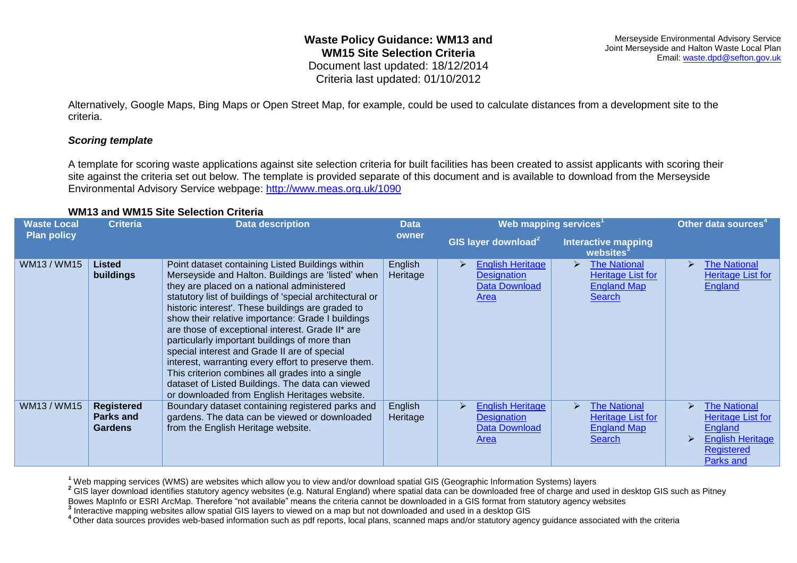Alternatively, Google Maps, Bing Maps or Open Street Map, for example, could be used to calculate distances from a development site to the criteria.

#### *Scoring template*

A template for scoring waste applications against site selection criteria for built facilities has been created to assist applicants with scoring their site against the criteria set out below. The template is provided separate of this document and is available to download from the Merseyside Environmental Advisory Service webpage:<http://www.meas.org.uk/1090>

#### **WM13 and WM15 Site Selection Criteria**

| <b>Waste Local</b> | <b>Criteria</b>                                  | <b>Data description</b>                                                                                                                                                                                                                                                                                                                                                                                                                                                                                                                                                                                                                                                                         | <b>Data</b>         | Web mapping services <sup>1</sup>                                                  |                                                                                                          | Other data sources <sup>4</sup>                                                                                                                         |
|--------------------|--------------------------------------------------|-------------------------------------------------------------------------------------------------------------------------------------------------------------------------------------------------------------------------------------------------------------------------------------------------------------------------------------------------------------------------------------------------------------------------------------------------------------------------------------------------------------------------------------------------------------------------------------------------------------------------------------------------------------------------------------------------|---------------------|------------------------------------------------------------------------------------|----------------------------------------------------------------------------------------------------------|---------------------------------------------------------------------------------------------------------------------------------------------------------|
| <b>Plan policy</b> |                                                  |                                                                                                                                                                                                                                                                                                                                                                                                                                                                                                                                                                                                                                                                                                 | owner               | GIS layer download <sup>2</sup>                                                    | <b>Interactive mapping</b><br>websites <sup>3</sup>                                                      |                                                                                                                                                         |
| WM13/WM15          | Listed<br>buildings                              | Point dataset containing Listed Buildings within<br>Merseyside and Halton. Buildings are 'listed' when<br>they are placed on a national administered<br>statutory list of buildings of 'special architectural or<br>historic interest'. These buildings are graded to<br>show their relative importance: Grade I buildings<br>are those of exceptional interest. Grade II* are<br>particularly important buildings of more than<br>special interest and Grade II are of special<br>interest, warranting every effort to preserve them.<br>This criterion combines all grades into a single<br>dataset of Listed Buildings. The data can viewed<br>or downloaded from English Heritages website. | English<br>Heritage | <b>English Heritage</b><br><b>Designation</b><br>Data Download<br><b>Area</b>      | <b>The National</b><br>➤<br><b>Heritage List for</b><br><b>England Map</b><br><b>Search</b>              | <b>The National</b><br><b>Heritage List for</b><br><b>England</b>                                                                                       |
| WM13/WM15          | <b>Registered</b><br><b>Parks and</b><br>Gardens | Boundary dataset containing registered parks and<br>gardens. The data can be viewed or downloaded<br>from the English Heritage website.                                                                                                                                                                                                                                                                                                                                                                                                                                                                                                                                                         | English<br>Heritage | <b>English Heritage</b><br>↘<br><b>Designation</b><br>Data Download<br><b>Area</b> | <b>The National</b><br>$\blacktriangleright$<br>Heritage List for<br><b>England Map</b><br><b>Search</b> | <b>The National</b><br>$\blacktriangleright$<br><b>Heritage List for</b><br><b>England</b><br><b>English Heritage</b><br><b>Registered</b><br>Parks and |

**<sup>1</sup>** Web mapping services (WMS) are websites which allow you to view and/or download spatial GIS (Geographic Information Systems) layers

<sup>2</sup> GIS layer download identifies statutory agency websites (e.g. Natural England) where spatial data can be downloaded free of charge and used in desktop GIS such as Pitney

Bowes MapInfo or ESRI ArcMap. Therefore "not available" means the criteria cannot be downloaded in a GIS format from statutory agency websites

**3** Interactive mapping websites allow spatial GIS layers to viewed on a map but not downloaded and used in a desktop GIS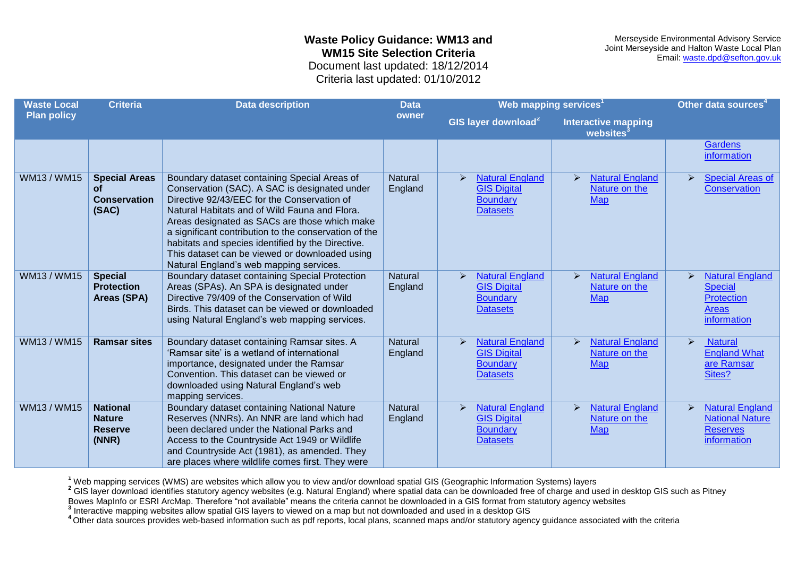Merseyside Environmental Advisory Service Joint Merseyside and Halton Waste Local Plan Email: [waste.dpd@sefton.gov.uk](mailto:waste.dpd@sefton.gov.uk)

Criteria last updated: 01/10/2012

| <b>Waste Local</b> | <b>Criteria</b>                                             | <b>Data description</b>                                                                                                                                                                                                                                                                                                                                                                                                                                   | <b>Data</b>               | Web mapping services <sup>1</sup>                                                                           |                                                                                | Other data sources <sup>4</sup>                                                                                |
|--------------------|-------------------------------------------------------------|-----------------------------------------------------------------------------------------------------------------------------------------------------------------------------------------------------------------------------------------------------------------------------------------------------------------------------------------------------------------------------------------------------------------------------------------------------------|---------------------------|-------------------------------------------------------------------------------------------------------------|--------------------------------------------------------------------------------|----------------------------------------------------------------------------------------------------------------|
| <b>Plan policy</b> |                                                             |                                                                                                                                                                                                                                                                                                                                                                                                                                                           | owner                     | GIS layer download <sup>2</sup>                                                                             | <b>Interactive mapping</b><br>websites <sup>3</sup>                            |                                                                                                                |
|                    |                                                             |                                                                                                                                                                                                                                                                                                                                                                                                                                                           |                           |                                                                                                             |                                                                                | <b>Gardens</b><br>information                                                                                  |
| WM13/WM15          | <b>Special Areas</b><br>οf<br><b>Conservation</b><br>(SAC)  | Boundary dataset containing Special Areas of<br>Conservation (SAC). A SAC is designated under<br>Directive 92/43/EEC for the Conservation of<br>Natural Habitats and of Wild Fauna and Flora.<br>Areas designated as SACs are those which make<br>a significant contribution to the conservation of the<br>habitats and species identified by the Directive.<br>This dataset can be viewed or downloaded using<br>Natural England's web mapping services. | <b>Natural</b><br>England | <b>Natural England</b><br>≻<br><b>GIS Digital</b><br><b>Boundary</b><br><b>Datasets</b>                     | <b>Natural England</b><br>↘<br>Nature on the<br><b>Map</b>                     | <b>Special Areas of</b><br>$\blacktriangleright$<br><b>Conservation</b>                                        |
| WM13/WM15          | <b>Special</b><br><b>Protection</b><br>Areas (SPA)          | Boundary dataset containing Special Protection<br>Areas (SPAs). An SPA is designated under<br>Directive 79/409 of the Conservation of Wild<br>Birds. This dataset can be viewed or downloaded<br>using Natural England's web mapping services.                                                                                                                                                                                                            | <b>Natural</b><br>England | <b>Natural England</b><br>$\blacktriangleright$<br><b>GIS Digital</b><br><b>Boundary</b><br><b>Datasets</b> | <b>Natural England</b><br>$\triangleright$<br>Nature on the<br><b>Map</b>      | <b>Natural England</b><br>$\blacktriangleright$<br><b>Special</b><br><b>Protection</b><br>Areas<br>information |
| WM13/WM15          | <b>Ramsar sites</b>                                         | Boundary dataset containing Ramsar sites. A<br>'Ramsar site' is a wetland of international<br>importance, designated under the Ramsar<br>Convention. This dataset can be viewed or<br>downloaded using Natural England's web<br>mapping services.                                                                                                                                                                                                         | <b>Natural</b><br>England | <b>Natural England</b><br>$\blacktriangleright$<br><b>GIS Digital</b><br><b>Boundary</b><br><b>Datasets</b> | <b>Natural England</b><br>$\blacktriangleright$<br>Nature on the<br><b>Map</b> | $\blacktriangleright$<br><b>Natural</b><br><b>England What</b><br>are Ramsar<br>Sites?                         |
| WM13 / WM15        | <b>National</b><br><b>Nature</b><br><b>Reserve</b><br>(NNR) | Boundary dataset containing National Nature<br>Reserves (NNRs). An NNR are land which had<br>been declared under the National Parks and<br>Access to the Countryside Act 1949 or Wildlife<br>and Countryside Act (1981), as amended. They<br>are places where wildlife comes first. They were                                                                                                                                                             | <b>Natural</b><br>England | <b>Natural England</b><br>$\triangleright$<br><b>GIS Digital</b><br><b>Boundary</b><br><b>Datasets</b>      | <b>Natural England</b><br>Nature on the<br><b>Map</b>                          | <b>Natural England</b><br>$\blacktriangleright$<br><b>National Nature</b><br><b>Reserves</b><br>information    |

**<sup>1</sup>** Web mapping services (WMS) are websites which allow you to view and/or download spatial GIS (Geographic Information Systems) layers

<sup>2</sup> GIS layer download identifies statutory agency websites (e.g. Natural England) where spatial data can be downloaded free of charge and used in desktop GIS such as Pitney

Bowes MapInfo or ESRI ArcMap. Therefore "not available" means the criteria cannot be downloaded in a GIS format from statutory agency websites

**3** Interactive mapping websites allow spatial GIS layers to viewed on a map but not downloaded and used in a desktop GIS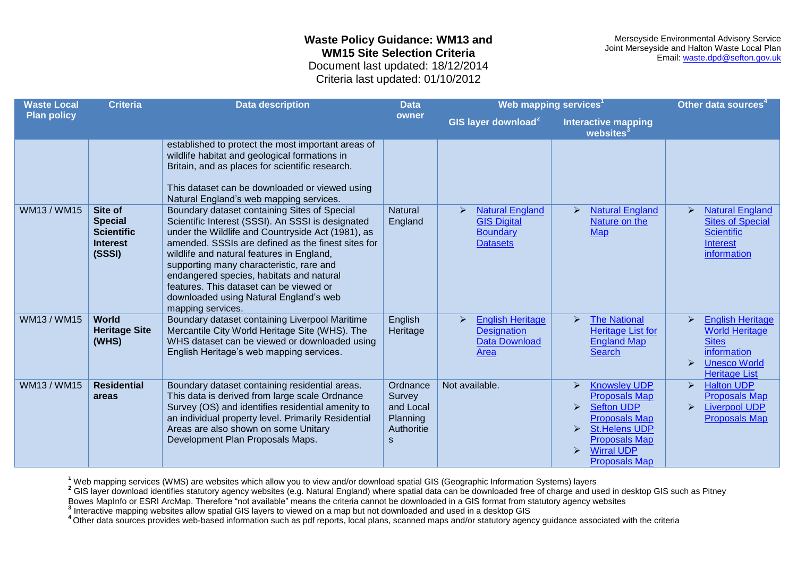Merseyside Environmental Advisory Service Joint Merseyside and Halton Waste Local Plan Email: [waste.dpd@sefton.gov.uk](mailto:waste.dpd@sefton.gov.uk)

Criteria last updated: 01/10/2012

| <b>Waste Local</b> | Web mapping services <sup>1</sup><br><b>Criteria</b><br><b>Data description</b><br><b>Data</b> |                                                                                                                                                                                                                                                                                                                                                                                                                                                             |                                                                | Other data sources <sup>4</sup>                                                                               |                                                                                                                                                                                                                                                                       |                                                                                                                                                         |
|--------------------|------------------------------------------------------------------------------------------------|-------------------------------------------------------------------------------------------------------------------------------------------------------------------------------------------------------------------------------------------------------------------------------------------------------------------------------------------------------------------------------------------------------------------------------------------------------------|----------------------------------------------------------------|---------------------------------------------------------------------------------------------------------------|-----------------------------------------------------------------------------------------------------------------------------------------------------------------------------------------------------------------------------------------------------------------------|---------------------------------------------------------------------------------------------------------------------------------------------------------|
| <b>Plan policy</b> |                                                                                                |                                                                                                                                                                                                                                                                                                                                                                                                                                                             | owner                                                          | GIS layer download <sup>2</sup>                                                                               | <b>Interactive mapping</b><br>websites                                                                                                                                                                                                                                |                                                                                                                                                         |
|                    |                                                                                                | established to protect the most important areas of<br>wildlife habitat and geological formations in<br>Britain, and as places for scientific research.<br>This dataset can be downloaded or viewed using<br>Natural England's web mapping services.                                                                                                                                                                                                         |                                                                |                                                                                                               |                                                                                                                                                                                                                                                                       |                                                                                                                                                         |
| WM13/WM15          | Site of<br><b>Special</b><br><b>Scientific</b><br><b>Interest</b><br>(SSSI)                    | Boundary dataset containing Sites of Special<br>Scientific Interest (SSSI). An SSSI is designated<br>under the Wildlife and Countryside Act (1981), as<br>amended. SSSIs are defined as the finest sites for<br>wildlife and natural features in England,<br>supporting many characteristic, rare and<br>endangered species, habitats and natural<br>features. This dataset can be viewed or<br>downloaded using Natural England's web<br>mapping services. | <b>Natural</b><br>England                                      | <b>Natural England</b><br><b>GIS Digital</b><br><b>Boundary</b><br><b>Datasets</b>                            | <b>Natural England</b><br>$\blacktriangleright$<br>Nature on the<br><b>Map</b>                                                                                                                                                                                        | <b>Natural England</b><br>$\blacktriangleright$<br><b>Sites of Special</b><br><b>Scientific</b><br><b>Interest</b><br>information                       |
| WM13/WM15          | <b>World</b><br><b>Heritage Site</b><br>(WHS)                                                  | Boundary dataset containing Liverpool Maritime<br>Mercantile City World Heritage Site (WHS). The<br>WHS dataset can be viewed or downloaded using<br>English Heritage's web mapping services.                                                                                                                                                                                                                                                               | English<br>Heritage                                            | <b>English Heritage</b><br>$\blacktriangleright$<br><b>Designation</b><br><b>Data Download</b><br><b>Area</b> | <b>The National</b><br>$\blacktriangleright$<br><b>Heritage List for</b><br><b>England Map</b><br><b>Search</b>                                                                                                                                                       | <b>English Heritage</b><br><b>World Heritage</b><br><b>Sites</b><br>information<br><b>Unesco World</b><br>$\blacktriangleright$<br><b>Heritage List</b> |
| WM13 / WM15        | <b>Residential</b><br>areas                                                                    | Boundary dataset containing residential areas.<br>This data is derived from large scale Ordnance<br>Survey (OS) and identifies residential amenity to<br>an individual property level. Primarily Residential<br>Areas are also shown on some Unitary<br>Development Plan Proposals Maps.                                                                                                                                                                    | Ordnance<br>Survey<br>and Local<br>Planning<br>Authoritie<br>S | Not available.                                                                                                | <b>Knowsley UDP</b><br>$\triangleright$<br><b>Proposals Map</b><br><b>Sefton UDP</b><br>$\triangleright$<br><b>Proposals Map</b><br><b>St.Helens UDP</b><br>$\triangleright$<br><b>Proposals Map</b><br><b>Wirral UDP</b><br>$\triangleright$<br><b>Proposals Map</b> | <b>Halton UDP</b><br>$\blacktriangleright$<br><b>Proposals Map</b><br><b>Liverpool UDP</b><br>$\blacktriangleright$<br><b>Proposals Map</b>             |

**<sup>1</sup>** Web mapping services (WMS) are websites which allow you to view and/or download spatial GIS (Geographic Information Systems) layers

<sup>2</sup> GIS layer download identifies statutory agency websites (e.g. Natural England) where spatial data can be downloaded free of charge and used in desktop GIS such as Pitney

Bowes MapInfo or ESRI ArcMap. Therefore "not available" means the criteria cannot be downloaded in a GIS format from statutory agency websites

**3** Interactive mapping websites allow spatial GIS layers to viewed on a map but not downloaded and used in a desktop GIS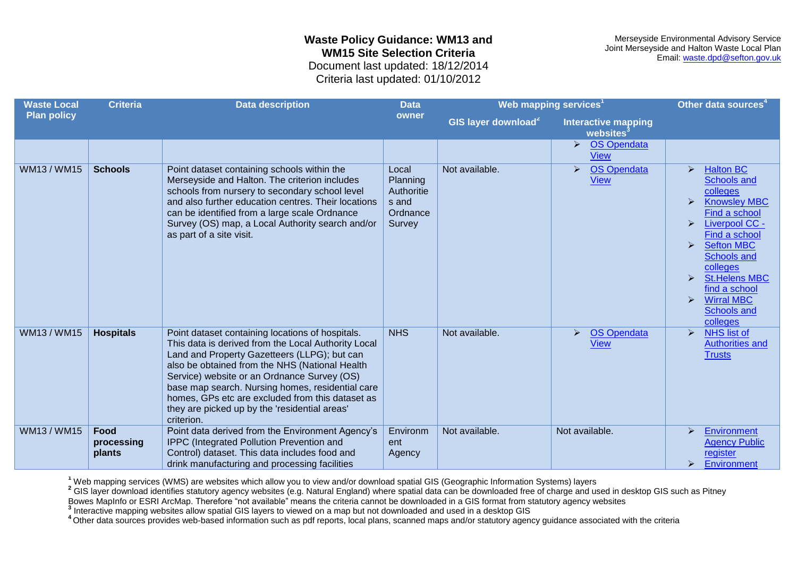Merseyside Environmental Advisory Service Joint Merseyside and Halton Waste Local Plan Email: [waste.dpd@sefton.gov.uk](mailto:waste.dpd@sefton.gov.uk)

Criteria last updated: 01/10/2012

| <b>Waste Local</b> | <b>Criteria</b>              | <b>Data description</b>                                                                                                                                                                                                                                                                                                                                                                                                         | <b>Data</b>                                                    | Web mapping services <sup>1</sup> |                                                       | Other data sources <sup>4</sup>                                                                                                                                                                                                                                                                                                                                                  |
|--------------------|------------------------------|---------------------------------------------------------------------------------------------------------------------------------------------------------------------------------------------------------------------------------------------------------------------------------------------------------------------------------------------------------------------------------------------------------------------------------|----------------------------------------------------------------|-----------------------------------|-------------------------------------------------------|----------------------------------------------------------------------------------------------------------------------------------------------------------------------------------------------------------------------------------------------------------------------------------------------------------------------------------------------------------------------------------|
| <b>Plan policy</b> |                              |                                                                                                                                                                                                                                                                                                                                                                                                                                 | owner                                                          | GIS layer download <sup>2</sup>   | <b>Interactive mapping</b><br>websites <sup>3</sup>   |                                                                                                                                                                                                                                                                                                                                                                                  |
|                    |                              |                                                                                                                                                                                                                                                                                                                                                                                                                                 |                                                                |                                   | OS Opendata<br>➤<br><b>View</b>                       |                                                                                                                                                                                                                                                                                                                                                                                  |
| <b>WM13/WM15</b>   | <b>Schools</b>               | Point dataset containing schools within the<br>Merseyside and Halton. The criterion includes<br>schools from nursery to secondary school level<br>and also further education centres. Their locations<br>can be identified from a large scale Ordnance<br>Survey (OS) map, a Local Authority search and/or<br>as part of a site visit.                                                                                          | Local<br>Planning<br>Authoritie<br>s and<br>Ordnance<br>Survey | Not available.                    | <b>OS Opendata</b><br>$\triangleright$<br><b>View</b> | <b>Halton BC</b><br>$\blacktriangleright$<br><b>Schools and</b><br>colleges<br><b>Knowsley MBC</b><br>Find a school<br><b>Liverpool CC -</b><br>➤<br>Find a school<br><b>Sefton MBC</b><br>$\blacktriangleright$<br><b>Schools and</b><br>colleges<br><b>St.Helens MBC</b><br>➤<br>find a school<br><b>Wirral MBC</b><br>$\blacktriangleright$<br><b>Schools and</b><br>colleges |
| WM13 / WM15        | <b>Hospitals</b>             | Point dataset containing locations of hospitals.<br>This data is derived from the Local Authority Local<br>Land and Property Gazetteers (LLPG); but can<br>also be obtained from the NHS (National Health<br>Service) website or an Ordnance Survey (OS)<br>base map search. Nursing homes, residential care<br>homes, GPs etc are excluded from this dataset as<br>they are picked up by the 'residential areas'<br>criterion. | <b>NHS</b>                                                     | Not available.                    | <b>OS Opendata</b><br>➤<br><b>View</b>                | <b>NHS list of</b><br>$\blacktriangleright$<br><b>Authorities and</b><br><b>Trusts</b>                                                                                                                                                                                                                                                                                           |
| WM13 / WM15        | Food<br>processing<br>plants | Point data derived from the Environment Agency's<br>IPPC (Integrated Pollution Prevention and<br>Control) dataset. This data includes food and<br>drink manufacturing and processing facilities                                                                                                                                                                                                                                 | Environm<br>ent<br>Agency                                      | Not available.                    | Not available.                                        | <b>Environment</b><br>$\triangleright$<br><b>Agency Public</b><br>register<br>Environment<br>⋗                                                                                                                                                                                                                                                                                   |

**<sup>1</sup>** Web mapping services (WMS) are websites which allow you to view and/or download spatial GIS (Geographic Information Systems) layers

<sup>2</sup> GIS layer download identifies statutory agency websites (e.g. Natural England) where spatial data can be downloaded free of charge and used in desktop GIS such as Pitney

Bowes MapInfo or ESRI ArcMap. Therefore "not available" means the criteria cannot be downloaded in a GIS format from statutory agency websites

**3** Interactive mapping websites allow spatial GIS layers to viewed on a map but not downloaded and used in a desktop GIS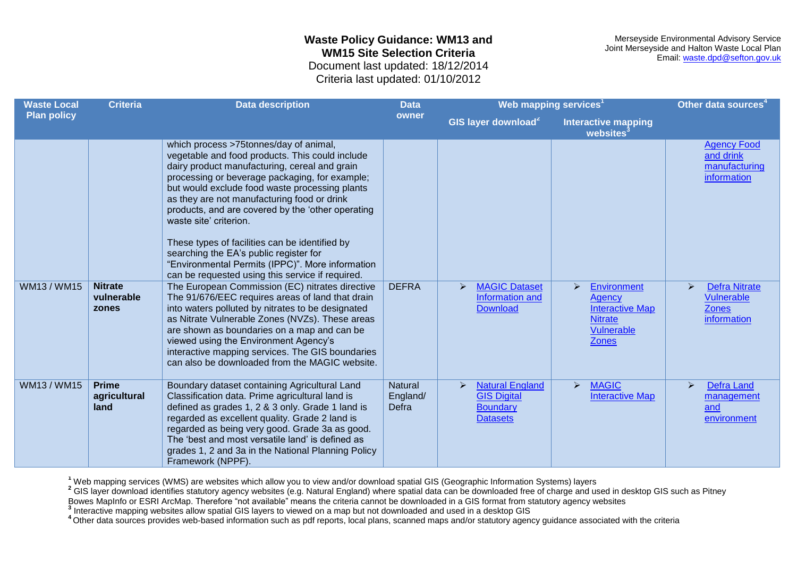Merseyside Environmental Advisory Service Joint Merseyside and Halton Waste Local Plan Email: [waste.dpd@sefton.gov.uk](mailto:waste.dpd@sefton.gov.uk)

Criteria last updated: 01/10/2012

| <b>Waste Local</b> | <b>Criteria</b>                       | <b>Data description</b>                                                                                                                                                                                                                                                                                                                                                                                                                                                                                                                                                          | <b>Data</b>                  | Web mapping services <sup>1</sup>                                                                      |                                                                                                                    | Other data sources                                                             |
|--------------------|---------------------------------------|----------------------------------------------------------------------------------------------------------------------------------------------------------------------------------------------------------------------------------------------------------------------------------------------------------------------------------------------------------------------------------------------------------------------------------------------------------------------------------------------------------------------------------------------------------------------------------|------------------------------|--------------------------------------------------------------------------------------------------------|--------------------------------------------------------------------------------------------------------------------|--------------------------------------------------------------------------------|
| <b>Plan policy</b> |                                       |                                                                                                                                                                                                                                                                                                                                                                                                                                                                                                                                                                                  | owner                        | GIS layer download <sup>2</sup>                                                                        | <b>Interactive mapping</b><br>websites <sup>3</sup>                                                                |                                                                                |
|                    |                                       | which process >75tonnes/day of animal,<br>vegetable and food products. This could include<br>dairy product manufacturing, cereal and grain<br>processing or beverage packaging, for example;<br>but would exclude food waste processing plants<br>as they are not manufacturing food or drink<br>products, and are covered by the 'other operating<br>waste site' criterion.<br>These types of facilities can be identified by<br>searching the EA's public register for<br>"Environmental Permits (IPPC)". More information<br>can be requested using this service if required. |                              |                                                                                                        |                                                                                                                    | <b>Agency Food</b><br>and drink<br>manufacturing<br>information                |
| WM13 / WM15        | <b>Nitrate</b><br>vulnerable<br>zones | The European Commission (EC) nitrates directive<br>The 91/676/EEC requires areas of land that drain<br>into waters polluted by nitrates to be designated<br>as Nitrate Vulnerable Zones (NVZs). These areas<br>are shown as boundaries on a map and can be<br>viewed using the Environment Agency's<br>interactive mapping services. The GIS boundaries<br>can also be downloaded from the MAGIC website.                                                                                                                                                                        | <b>DEFRA</b>                 | <b>MAGIC Dataset</b><br>$\triangleright$<br>Information and<br><b>Download</b>                         | <b>Environment</b><br>➤<br>Agency<br><b>Interactive Map</b><br><b>Nitrate</b><br><b>Vulnerable</b><br><b>Zones</b> | <b>Defra Nitrate</b><br>⋗<br><b>Vulnerable</b><br><b>Zones</b><br>information  |
| WM13/WM15          | <b>Prime</b><br>agricultural<br>land  | Boundary dataset containing Agricultural Land<br>Classification data. Prime agricultural land is<br>defined as grades 1, 2 & 3 only. Grade 1 land is<br>regarded as excellent quality. Grade 2 land is<br>regarded as being very good. Grade 3a as good.<br>The 'best and most versatile land' is defined as<br>grades 1, 2 and 3a in the National Planning Policy<br>Framework (NPPF).                                                                                                                                                                                          | Natural<br>England/<br>Defra | <b>Natural England</b><br>$\triangleright$<br><b>GIS Digital</b><br><b>Boundary</b><br><b>Datasets</b> | <b>MAGIC</b><br>$\blacktriangleright$<br><b>Interactive Map</b>                                                    | <b>Defra Land</b><br>$\blacktriangleright$<br>management<br>and<br>environment |

**<sup>1</sup>** Web mapping services (WMS) are websites which allow you to view and/or download spatial GIS (Geographic Information Systems) layers

<sup>2</sup> GIS layer download identifies statutory agency websites (e.g. Natural England) where spatial data can be downloaded free of charge and used in desktop GIS such as Pitney

Bowes MapInfo or ESRI ArcMap. Therefore "not available" means the criteria cannot be downloaded in a GIS format from statutory agency websites

**3** Interactive mapping websites allow spatial GIS layers to viewed on a map but not downloaded and used in a desktop GIS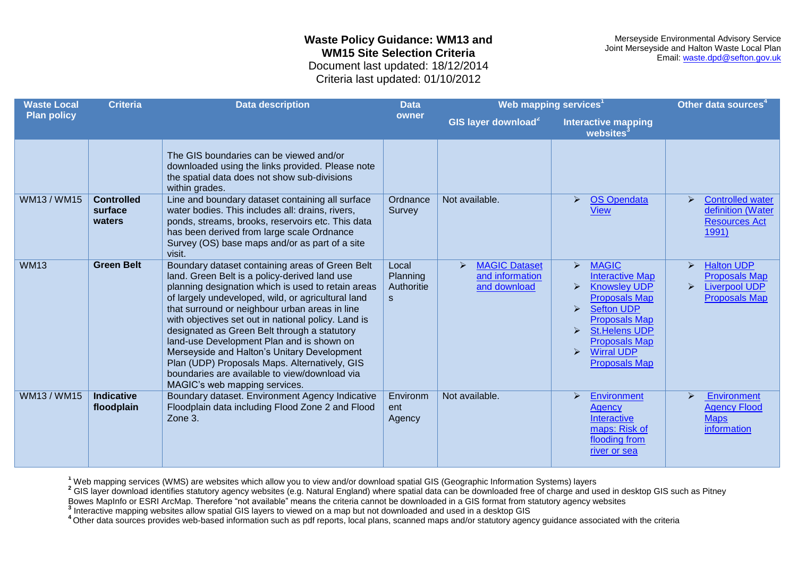Merseyside Environmental Advisory Service Joint Merseyside and Halton Waste Local Plan Email: [waste.dpd@sefton.gov.uk](mailto:waste.dpd@sefton.gov.uk)

Criteria last updated: 01/10/2012

| <b>Waste Local</b> | <b>Criteria</b><br><b>Data description</b><br><b>Data</b> |                                                                                                                                                                                                                                                                                                                                                                                                                                                                                                                                                                                                      | Web mapping services <sup>1</sup>    | Other data sources <sup>4</sup>                              |                                                                                                                                                                                                                                                                                                                                                              |                                                                                                                                             |
|--------------------|-----------------------------------------------------------|------------------------------------------------------------------------------------------------------------------------------------------------------------------------------------------------------------------------------------------------------------------------------------------------------------------------------------------------------------------------------------------------------------------------------------------------------------------------------------------------------------------------------------------------------------------------------------------------------|--------------------------------------|--------------------------------------------------------------|--------------------------------------------------------------------------------------------------------------------------------------------------------------------------------------------------------------------------------------------------------------------------------------------------------------------------------------------------------------|---------------------------------------------------------------------------------------------------------------------------------------------|
| <b>Plan policy</b> |                                                           |                                                                                                                                                                                                                                                                                                                                                                                                                                                                                                                                                                                                      | owner                                | GIS layer download <sup>2</sup>                              | <b>Interactive mapping</b><br>websites                                                                                                                                                                                                                                                                                                                       |                                                                                                                                             |
|                    |                                                           | The GIS boundaries can be viewed and/or<br>downloaded using the links provided. Please note<br>the spatial data does not show sub-divisions<br>within grades.                                                                                                                                                                                                                                                                                                                                                                                                                                        |                                      |                                                              |                                                                                                                                                                                                                                                                                                                                                              |                                                                                                                                             |
| WM13 / WM15        | <b>Controlled</b><br>surface<br>waters                    | Line and boundary dataset containing all surface<br>water bodies. This includes all: drains, rivers,<br>ponds, streams, brooks, reservoirs etc. This data<br>has been derived from large scale Ordnance<br>Survey (OS) base maps and/or as part of a site<br>visit.                                                                                                                                                                                                                                                                                                                                  | Ordnance<br>Survey                   | Not available.                                               | <b>OS Opendata</b><br>$\blacktriangleright$<br><b>View</b>                                                                                                                                                                                                                                                                                                   | <b>Controlled water</b><br>$\blacktriangleright$<br>definition (Water<br><b>Resources Act</b><br>1991)                                      |
| <b>WM13</b>        | <b>Green Belt</b>                                         | Boundary dataset containing areas of Green Belt<br>land. Green Belt is a policy-derived land use<br>planning designation which is used to retain areas<br>of largely undeveloped, wild, or agricultural land<br>that surround or neighbour urban areas in line<br>with objectives set out in national policy. Land is<br>designated as Green Belt through a statutory<br>land-use Development Plan and is shown on<br>Merseyside and Halton's Unitary Development<br>Plan (UDP) Proposals Maps. Alternatively, GIS<br>boundaries are available to view/download via<br>MAGIC's web mapping services. | Local<br>Planning<br>Authoritie<br>S | <b>MAGIC Dataset</b><br>➤<br>and information<br>and download | <b>MAGIC</b><br>$\blacktriangleright$<br><b>Interactive Map</b><br><b>Knowsley UDP</b><br>$\blacktriangleright$<br><b>Proposals Map</b><br><b>Sefton UDP</b><br>$\blacktriangleright$<br><b>Proposals Map</b><br><b>St.Helens UDP</b><br>$\blacktriangleright$<br><b>Proposals Map</b><br><b>Wirral UDP</b><br>$\blacktriangleright$<br><b>Proposals Map</b> | <b>Halton UDP</b><br>$\blacktriangleright$<br><b>Proposals Map</b><br><b>Liverpool UDP</b><br>$\blacktriangleright$<br><b>Proposals Map</b> |
| <b>WM13/WM15</b>   | <b>Indicative</b><br>floodplain                           | Boundary dataset. Environment Agency Indicative<br>Floodplain data including Flood Zone 2 and Flood<br>Zone 3.                                                                                                                                                                                                                                                                                                                                                                                                                                                                                       | Environm<br>ent<br>Agency            | Not available.                                               | <b>Environment</b><br>$\triangleright$<br><b>Agency</b><br><b>Interactive</b><br>maps: Risk of<br>flooding from<br>river or sea                                                                                                                                                                                                                              | Environment<br>$\blacktriangleright$<br><b>Agency Flood</b><br><b>Maps</b><br>information                                                   |

**<sup>1</sup>** Web mapping services (WMS) are websites which allow you to view and/or download spatial GIS (Geographic Information Systems) layers

<sup>2</sup> GIS layer download identifies statutory agency websites (e.g. Natural England) where spatial data can be downloaded free of charge and used in desktop GIS such as Pitney

Bowes MapInfo or ESRI ArcMap. Therefore "not available" means the criteria cannot be downloaded in a GIS format from statutory agency websites

**3** Interactive mapping websites allow spatial GIS layers to viewed on a map but not downloaded and used in a desktop GIS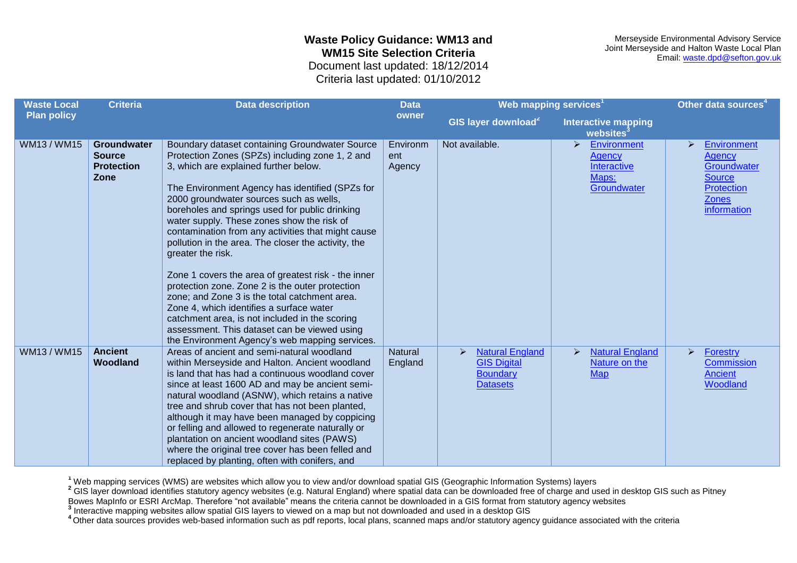Merseyside Environmental Advisory Service Joint Merseyside and Halton Waste Local Plan Email: [waste.dpd@sefton.gov.uk](mailto:waste.dpd@sefton.gov.uk)

Criteria last updated: 01/10/2012

| <b>Waste Local</b> | <b>Criteria</b>                                                  | <b>Data description</b>                                                                                                                                                                                                                                                                                                                                                                                                                                                                                                                                                                                                                                                                                                                                                                                                               | <b>Data</b>               | Web mapping services <sup>1</sup>                                                                      |                                                                                       | Other data sources <sup>4</sup>                                                                                |
|--------------------|------------------------------------------------------------------|---------------------------------------------------------------------------------------------------------------------------------------------------------------------------------------------------------------------------------------------------------------------------------------------------------------------------------------------------------------------------------------------------------------------------------------------------------------------------------------------------------------------------------------------------------------------------------------------------------------------------------------------------------------------------------------------------------------------------------------------------------------------------------------------------------------------------------------|---------------------------|--------------------------------------------------------------------------------------------------------|---------------------------------------------------------------------------------------|----------------------------------------------------------------------------------------------------------------|
| <b>Plan policy</b> |                                                                  |                                                                                                                                                                                                                                                                                                                                                                                                                                                                                                                                                                                                                                                                                                                                                                                                                                       | owner                     | GIS layer download <sup>2</sup>                                                                        | <b>Interactive mapping</b><br>websites <sup>3</sup>                                   |                                                                                                                |
| WM13 / WM15        | <b>Groundwater</b><br><b>Source</b><br><b>Protection</b><br>Zone | Boundary dataset containing Groundwater Source<br>Protection Zones (SPZs) including zone 1, 2 and<br>3, which are explained further below.<br>The Environment Agency has identified (SPZs for<br>2000 groundwater sources such as wells,<br>boreholes and springs used for public drinking<br>water supply. These zones show the risk of<br>contamination from any activities that might cause<br>pollution in the area. The closer the activity, the<br>greater the risk.<br>Zone 1 covers the area of greatest risk - the inner<br>protection zone. Zone 2 is the outer protection<br>zone; and Zone 3 is the total catchment area.<br>Zone 4, which identifies a surface water<br>catchment area, is not included in the scoring<br>assessment. This dataset can be viewed using<br>the Environment Agency's web mapping services. | Environm<br>ent<br>Agency | Not available.                                                                                         | $\blacktriangleright$<br>Environment<br>Agency<br>Interactive<br>Maps:<br>Groundwater | Environment<br>⋗<br><b>Agency</b><br>Groundwater<br><b>Source</b><br>Protection<br><b>Zones</b><br>information |
| WM13 / WM15        | <b>Ancient</b><br><b>Woodland</b>                                | Areas of ancient and semi-natural woodland<br>within Merseyside and Halton. Ancient woodland<br>is land that has had a continuous woodland cover<br>since at least 1600 AD and may be ancient semi-<br>natural woodland (ASNW), which retains a native<br>tree and shrub cover that has not been planted,<br>although it may have been managed by coppicing<br>or felling and allowed to regenerate naturally or<br>plantation on ancient woodland sites (PAWS)<br>where the original tree cover has been felled and<br>replaced by planting, often with conifers, and                                                                                                                                                                                                                                                                | <b>Natural</b><br>England | <b>Natural England</b><br>$\triangleright$<br><b>GIS Digital</b><br><b>Boundary</b><br><b>Datasets</b> | <b>Natural England</b><br>$\blacktriangleright$<br>Nature on the<br><b>Map</b>        | $\blacktriangleright$<br>Forestry<br>Commission<br><b>Ancient</b><br>Woodland                                  |

**<sup>1</sup>** Web mapping services (WMS) are websites which allow you to view and/or download spatial GIS (Geographic Information Systems) layers

<sup>2</sup> GIS layer download identifies statutory agency websites (e.g. Natural England) where spatial data can be downloaded free of charge and used in desktop GIS such as Pitney

Bowes MapInfo or ESRI ArcMap. Therefore "not available" means the criteria cannot be downloaded in a GIS format from statutory agency websites

**3** Interactive mapping websites allow spatial GIS layers to viewed on a map but not downloaded and used in a desktop GIS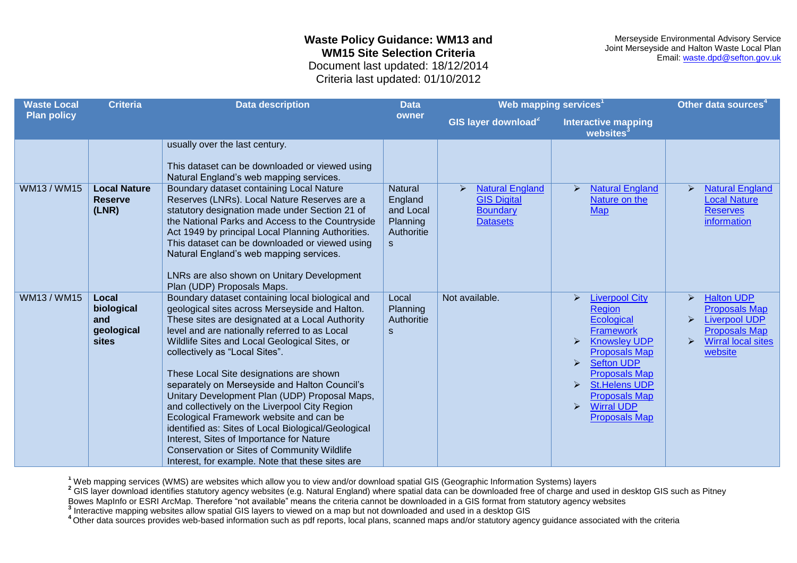Merseyside Environmental Advisory Service Joint Merseyside and Halton Waste Local Plan Email: [waste.dpd@sefton.gov.uk](mailto:waste.dpd@sefton.gov.uk)

Criteria last updated: 01/10/2012

| <b>Waste Local</b> | <b>Criteria</b>                                   | <b>Data description</b>                                                                                                                                                                                                                                                                                                                                                                                                                                                                                                                                                                                                                                                                                                                  | <b>Data</b>                                                                      | Web mapping services <sup>1</sup>                                                                      |                                                                                                                                                                                                                                                                                                                                                                                                | Other data sources <sup>4</sup>                                                                                                                                                                              |
|--------------------|---------------------------------------------------|------------------------------------------------------------------------------------------------------------------------------------------------------------------------------------------------------------------------------------------------------------------------------------------------------------------------------------------------------------------------------------------------------------------------------------------------------------------------------------------------------------------------------------------------------------------------------------------------------------------------------------------------------------------------------------------------------------------------------------------|----------------------------------------------------------------------------------|--------------------------------------------------------------------------------------------------------|------------------------------------------------------------------------------------------------------------------------------------------------------------------------------------------------------------------------------------------------------------------------------------------------------------------------------------------------------------------------------------------------|--------------------------------------------------------------------------------------------------------------------------------------------------------------------------------------------------------------|
| <b>Plan policy</b> |                                                   |                                                                                                                                                                                                                                                                                                                                                                                                                                                                                                                                                                                                                                                                                                                                          | owner                                                                            | GIS layer download <sup>2</sup>                                                                        | <b>Interactive mapping</b><br>websites                                                                                                                                                                                                                                                                                                                                                         |                                                                                                                                                                                                              |
|                    |                                                   | usually over the last century.<br>This dataset can be downloaded or viewed using<br>Natural England's web mapping services.                                                                                                                                                                                                                                                                                                                                                                                                                                                                                                                                                                                                              |                                                                                  |                                                                                                        |                                                                                                                                                                                                                                                                                                                                                                                                |                                                                                                                                                                                                              |
| WM13/WM15          | <b>Local Nature</b><br><b>Reserve</b><br>(LNR)    | Boundary dataset containing Local Nature<br>Reserves (LNRs). Local Nature Reserves are a<br>statutory designation made under Section 21 of<br>the National Parks and Access to the Countryside<br>Act 1949 by principal Local Planning Authorities.<br>This dataset can be downloaded or viewed using<br>Natural England's web mapping services.<br>LNRs are also shown on Unitary Development<br>Plan (UDP) Proposals Maps.                                                                                                                                                                                                                                                                                                             | <b>Natural</b><br>England<br>and Local<br>Planning<br>Authoritie<br>$\mathbf{s}$ | <b>Natural England</b><br>$\triangleright$<br><b>GIS Digital</b><br><b>Boundary</b><br><b>Datasets</b> | <b>Natural England</b><br>$\triangleright$<br>Nature on the<br><b>Map</b>                                                                                                                                                                                                                                                                                                                      | <b>Natural England</b><br>$\blacktriangleright$<br><b>Local Nature</b><br><b>Reserves</b><br>information                                                                                                     |
| WM13/WM15          | Local<br>biological<br>and<br>geological<br>sites | Boundary dataset containing local biological and<br>geological sites across Merseyside and Halton.<br>These sites are designated at a Local Authority<br>level and are nationally referred to as Local<br>Wildlife Sites and Local Geological Sites, or<br>collectively as "Local Sites".<br>These Local Site designations are shown<br>separately on Merseyside and Halton Council's<br>Unitary Development Plan (UDP) Proposal Maps,<br>and collectively on the Liverpool City Region<br>Ecological Framework website and can be<br>identified as: Sites of Local Biological/Geological<br>Interest, Sites of Importance for Nature<br>Conservation or Sites of Community Wildlife<br>Interest, for example. Note that these sites are | Local<br>Planning<br>Authoritie<br>$\mathbf{s}$                                  | Not available.                                                                                         | <b>Liverpool City</b><br>$\blacktriangleright$<br><b>Region</b><br>Ecological<br><b>Framework</b><br><b>Knowsley UDP</b><br>$\blacktriangleright$<br><b>Proposals Map</b><br><b>Sefton UDP</b><br>$\blacktriangleright$<br><b>Proposals Map</b><br><b>St.Helens UDP</b><br>$\blacktriangleright$<br><b>Proposals Map</b><br><b>Wirral UDP</b><br>$\blacktriangleright$<br><b>Proposals Map</b> | $\blacktriangleright$<br><b>Halton UDP</b><br><b>Proposals Map</b><br><b>Liverpool UDP</b><br>$\blacktriangleright$<br><b>Proposals Map</b><br><b>Wirral local sites</b><br>$\blacktriangleright$<br>website |

**<sup>1</sup>** Web mapping services (WMS) are websites which allow you to view and/or download spatial GIS (Geographic Information Systems) layers

<sup>2</sup> GIS layer download identifies statutory agency websites (e.g. Natural England) where spatial data can be downloaded free of charge and used in desktop GIS such as Pitney

Bowes MapInfo or ESRI ArcMap. Therefore "not available" means the criteria cannot be downloaded in a GIS format from statutory agency websites

**3** Interactive mapping websites allow spatial GIS layers to viewed on a map but not downloaded and used in a desktop GIS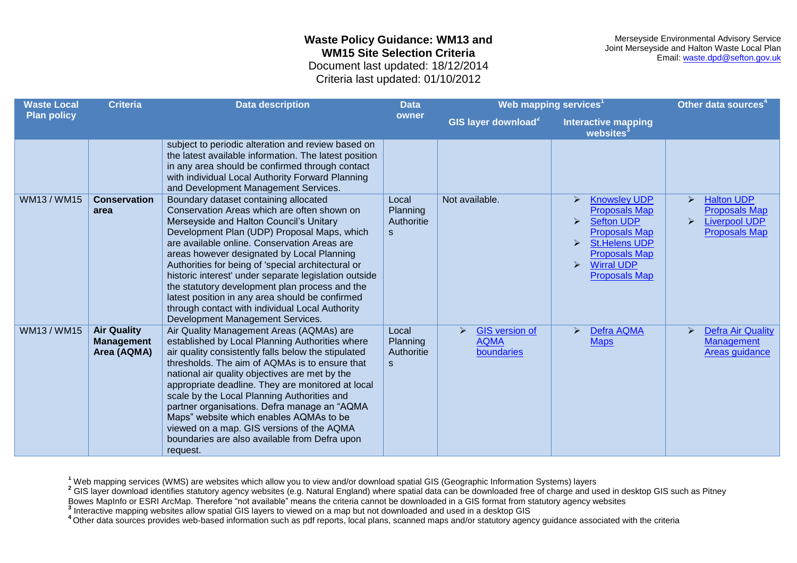Merseyside Environmental Advisory Service Joint Merseyside and Halton Waste Local Plan Email: [waste.dpd@sefton.gov.uk](mailto:waste.dpd@sefton.gov.uk)

Criteria last updated: 01/10/2012

| <b>Waste Local</b> | <b>Criteria</b>                                        | <b>Data description</b>                                                                                                                                                                                                                                                                                                                                                                                                                                                                                                                                                                 | <b>Data</b>                                     | Web mapping services <sup>1</sup>                                           |                                                                                                                                                                                                                                                   | Other data sources <sup>4</sup>                                                                                         |
|--------------------|--------------------------------------------------------|-----------------------------------------------------------------------------------------------------------------------------------------------------------------------------------------------------------------------------------------------------------------------------------------------------------------------------------------------------------------------------------------------------------------------------------------------------------------------------------------------------------------------------------------------------------------------------------------|-------------------------------------------------|-----------------------------------------------------------------------------|---------------------------------------------------------------------------------------------------------------------------------------------------------------------------------------------------------------------------------------------------|-------------------------------------------------------------------------------------------------------------------------|
| <b>Plan policy</b> |                                                        |                                                                                                                                                                                                                                                                                                                                                                                                                                                                                                                                                                                         | owner                                           | GIS layer download <sup>2</sup>                                             | <b>Interactive mapping</b><br>websites <sup>3</sup>                                                                                                                                                                                               |                                                                                                                         |
|                    |                                                        | subject to periodic alteration and review based on<br>the latest available information. The latest position<br>in any area should be confirmed through contact<br>with individual Local Authority Forward Planning<br>and Development Management Services.                                                                                                                                                                                                                                                                                                                              |                                                 |                                                                             |                                                                                                                                                                                                                                                   |                                                                                                                         |
| WM13 / WM15        | <b>Conservation</b><br>area                            | Boundary dataset containing allocated<br>Conservation Areas which are often shown on<br>Merseyside and Halton Council's Unitary<br>Development Plan (UDP) Proposal Maps, which<br>are available online. Conservation Areas are<br>areas however designated by Local Planning<br>Authorities for being of 'special architectural or<br>historic interest' under separate legislation outside<br>the statutory development plan process and the<br>latest position in any area should be confirmed<br>through contact with individual Local Authority<br>Development Management Services. | Local<br>Planning<br>Authoritie<br><sub>S</sub> | Not available.                                                              | <b>Knowsley UDP</b><br>⋗<br><b>Proposals Map</b><br><b>Sefton UDP</b><br>$\blacktriangleright$<br><b>Proposals Map</b><br><b>St.Helens UDP</b><br>≻<br><b>Proposals Map</b><br><b>Wirral UDP</b><br>$\blacktriangleright$<br><b>Proposals Map</b> | <b>Halton UDP</b><br>➤<br><b>Proposals Map</b><br><b>Liverpool UDP</b><br>$\blacktriangleright$<br><b>Proposals Map</b> |
| WM13 / WM15        | <b>Air Quality</b><br><b>Management</b><br>Area (AQMA) | Air Quality Management Areas (AQMAs) are<br>established by Local Planning Authorities where<br>air quality consistently falls below the stipulated<br>thresholds. The aim of AQMAs is to ensure that<br>national air quality objectives are met by the<br>appropriate deadline. They are monitored at local<br>scale by the Local Planning Authorities and<br>partner organisations. Defra manage an "AQMA<br>Maps" website which enables AQMAs to be<br>viewed on a map. GIS versions of the AQMA<br>boundaries are also available from Defra upon<br>request.                         | Local<br>Planning<br>Authoritie<br><sub>S</sub> | <b>GIS</b> version of<br>$\blacktriangleright$<br><b>AQMA</b><br>boundaries | <b>Defra AQMA</b><br>➤<br><b>Maps</b>                                                                                                                                                                                                             | <b>Defra Air Quality</b><br>$\blacktriangleright$<br><b>Management</b><br>Areas guidance                                |

**<sup>1</sup>** Web mapping services (WMS) are websites which allow you to view and/or download spatial GIS (Geographic Information Systems) layers

<sup>2</sup> GIS layer download identifies statutory agency websites (e.g. Natural England) where spatial data can be downloaded free of charge and used in desktop GIS such as Pitney

Bowes MapInfo or ESRI ArcMap. Therefore "not available" means the criteria cannot be downloaded in a GIS format from statutory agency websites

**3** Interactive mapping websites allow spatial GIS layers to viewed on a map but not downloaded and used in a desktop GIS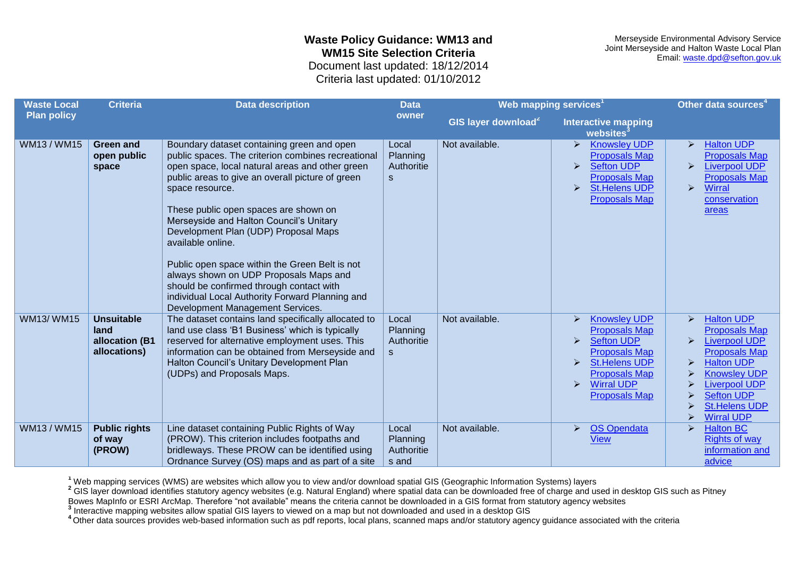Merseyside Environmental Advisory Service Joint Merseyside and Halton Waste Local Plan Email: [waste.dpd@sefton.gov.uk](mailto:waste.dpd@sefton.gov.uk)

Criteria last updated: 01/10/2012

| <b>Waste Local</b> | <b>Criteria</b>                                             | <b>Data description</b>                                                                                                                                                                                                                                                                                                                                                                                                                                                                                                                                                                                    | Web mapping services <sup>1</sup><br><b>Data</b> |                                 |                                                                                                                                                                                                                                                                            | Other data sources <sup>4</sup>                                                                                                                                                                                                                                                                            |
|--------------------|-------------------------------------------------------------|------------------------------------------------------------------------------------------------------------------------------------------------------------------------------------------------------------------------------------------------------------------------------------------------------------------------------------------------------------------------------------------------------------------------------------------------------------------------------------------------------------------------------------------------------------------------------------------------------------|--------------------------------------------------|---------------------------------|----------------------------------------------------------------------------------------------------------------------------------------------------------------------------------------------------------------------------------------------------------------------------|------------------------------------------------------------------------------------------------------------------------------------------------------------------------------------------------------------------------------------------------------------------------------------------------------------|
| <b>Plan policy</b> |                                                             |                                                                                                                                                                                                                                                                                                                                                                                                                                                                                                                                                                                                            | owner                                            | GIS layer download <sup>2</sup> | <b>Interactive mapping</b><br>websites                                                                                                                                                                                                                                     |                                                                                                                                                                                                                                                                                                            |
| WM13 / WM15        | <b>Green and</b><br>open public<br>space                    | Boundary dataset containing green and open<br>public spaces. The criterion combines recreational<br>open space, local natural areas and other green<br>public areas to give an overall picture of green<br>space resource.<br>These public open spaces are shown on<br>Merseyside and Halton Council's Unitary<br>Development Plan (UDP) Proposal Maps<br>available online.<br>Public open space within the Green Belt is not<br>always shown on UDP Proposals Maps and<br>should be confirmed through contact with<br>individual Local Authority Forward Planning and<br>Development Management Services. | Local<br>Planning<br>Authoritie<br>S             | Not available.                  | <b>Knowsley UDP</b><br>$\triangleright$<br><b>Proposals Map</b><br><b>Sefton UDP</b><br>$\triangleright$<br><b>Proposals Map</b><br><b>St.Helens UDP</b><br>$\triangleright$<br><b>Proposals Map</b>                                                                       | <b>Halton UDP</b><br>$\blacktriangleright$<br><b>Proposals Map</b><br><b>Liverpool UDP</b><br>$\blacktriangleright$<br><b>Proposals Map</b><br>$\blacktriangleright$<br><b>Wirral</b><br>conservation<br>areas                                                                                             |
| <b>WM13/WM15</b>   | <b>Unsuitable</b><br>land<br>allocation (B1<br>allocations) | The dataset contains land specifically allocated to<br>land use class 'B1 Business' which is typically<br>reserved for alternative employment uses. This<br>information can be obtained from Merseyside and<br>Halton Council's Unitary Development Plan<br>(UDPs) and Proposals Maps.                                                                                                                                                                                                                                                                                                                     | Local<br>Planning<br>Authoritie<br><sub>S</sub>  | Not available.                  | <b>Knowsley UDP</b><br>$\blacktriangleright$<br><b>Proposals Map</b><br><b>Sefton UDP</b><br>$\triangleright$<br><b>Proposals Map</b><br><b>St.Helens UDP</b><br>$\triangleright$<br><b>Proposals Map</b><br><b>Wirral UDP</b><br>$\triangleright$<br><b>Proposals Map</b> | <b>Halton UDP</b><br>$\blacktriangleright$<br><b>Proposals Map</b><br><b>Liverpool UDP</b><br>$\blacktriangleright$<br><b>Proposals Map</b><br><b>Halton UDP</b><br>$\blacktriangleright$<br><b>Knowsley UDP</b><br><b>Liverpool UDP</b><br><b>Sefton UDP</b><br><b>St.Helens UDP</b><br><b>Wirral UDP</b> |
| WM13 / WM15        | <b>Public rights</b><br>of way<br>(PROW)                    | Line dataset containing Public Rights of Way<br>(PROW). This criterion includes footpaths and<br>bridleways. These PROW can be identified using<br>Ordnance Survey (OS) maps and as part of a site                                                                                                                                                                                                                                                                                                                                                                                                         | Local<br>Planning<br>Authoritie<br>s and         | Not available.                  | <b>OS Opendata</b><br>$\triangleright$<br><b>View</b>                                                                                                                                                                                                                      | <b>Halton BC</b><br><b>Rights of way</b><br>information and<br>advice                                                                                                                                                                                                                                      |

**<sup>1</sup>** Web mapping services (WMS) are websites which allow you to view and/or download spatial GIS (Geographic Information Systems) layers

<sup>2</sup> GIS layer download identifies statutory agency websites (e.g. Natural England) where spatial data can be downloaded free of charge and used in desktop GIS such as Pitney

Bowes MapInfo or ESRI ArcMap. Therefore "not available" means the criteria cannot be downloaded in a GIS format from statutory agency websites

**3** Interactive mapping websites allow spatial GIS layers to viewed on a map but not downloaded and used in a desktop GIS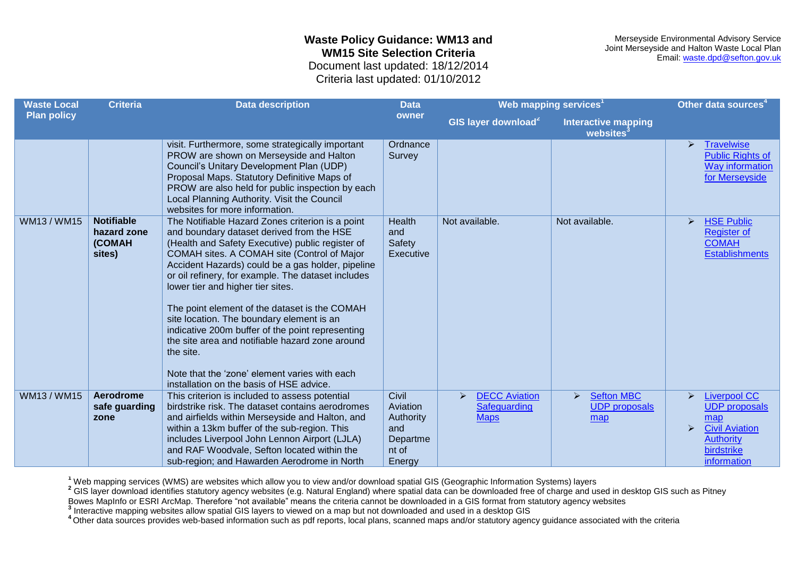Merseyside Environmental Advisory Service Joint Merseyside and Halton Waste Local Plan Email: [waste.dpd@sefton.gov.uk](mailto:waste.dpd@sefton.gov.uk)

Criteria last updated: 01/10/2012

| <b>Waste Local</b> | <b>Criteria</b>                                      | <b>Data description</b>                                                                                                                                                                                                                                                                                                                                                                                                                                                                                                                                                                                                                                         | <b>Data</b>                                       | Web mapping services <sup>1</sup>                        |                                                                           | Other data sources <sup>4</sup>                                                                                                                   |
|--------------------|------------------------------------------------------|-----------------------------------------------------------------------------------------------------------------------------------------------------------------------------------------------------------------------------------------------------------------------------------------------------------------------------------------------------------------------------------------------------------------------------------------------------------------------------------------------------------------------------------------------------------------------------------------------------------------------------------------------------------------|---------------------------------------------------|----------------------------------------------------------|---------------------------------------------------------------------------|---------------------------------------------------------------------------------------------------------------------------------------------------|
| <b>Plan policy</b> |                                                      |                                                                                                                                                                                                                                                                                                                                                                                                                                                                                                                                                                                                                                                                 | owner                                             | GIS layer download <sup>2</sup>                          | <b>Interactive mapping</b><br>websites                                    |                                                                                                                                                   |
|                    |                                                      | visit. Furthermore, some strategically important<br>PROW are shown on Merseyside and Halton<br>Council's Unitary Development Plan (UDP)<br>Proposal Maps. Statutory Definitive Maps of<br>PROW are also held for public inspection by each<br>Local Planning Authority. Visit the Council<br>websites for more information.                                                                                                                                                                                                                                                                                                                                     | Ordnance<br>Survey                                |                                                          |                                                                           | <b>Travelwise</b><br>$\blacktriangleright$<br><b>Public Rights of</b><br><b>Way information</b><br>for Merseyside                                 |
| WM13/WM15          | <b>Notifiable</b><br>hazard zone<br>(COMAH<br>sites) | The Notifiable Hazard Zones criterion is a point<br>and boundary dataset derived from the HSE<br>(Health and Safety Executive) public register of<br>COMAH sites. A COMAH site (Control of Major<br>Accident Hazards) could be a gas holder, pipeline<br>or oil refinery, for example. The dataset includes<br>lower tier and higher tier sites.<br>The point element of the dataset is the COMAH<br>site location. The boundary element is an<br>indicative 200m buffer of the point representing<br>the site area and notifiable hazard zone around<br>the site.<br>Note that the 'zone' element varies with each<br>installation on the basis of HSE advice. | Health<br>and<br>Safety<br>Executive              | Not available.                                           | Not available.                                                            | <b>HSE Public</b><br>$\blacktriangleright$<br><b>Register of</b><br><b>COMAH</b><br><b>Establishments</b>                                         |
| WM13/WM15          | <b>Aerodrome</b><br>safe guarding<br>zone            | This criterion is included to assess potential<br>birdstrike risk. The dataset contains aerodromes<br>and airfields within Merseyside and Halton, and<br>within a 13km buffer of the sub-region. This<br>includes Liverpool John Lennon Airport (LJLA)                                                                                                                                                                                                                                                                                                                                                                                                          | Civil<br>Aviation<br>Authority<br>and<br>Departme | <b>DECC Aviation</b><br>≻<br>Safeguarding<br><b>Maps</b> | $\blacktriangleright$<br><b>Sefton MBC</b><br><b>UDP</b> proposals<br>map | <b>Liverpool CC</b><br>$\blacktriangleright$<br><b>UDP</b> proposals<br>map<br><b>Civil Aviation</b><br>$\blacktriangleright$<br><b>Authority</b> |
|                    |                                                      | and RAF Woodvale, Sefton located within the<br>sub-region; and Hawarden Aerodrome in North                                                                                                                                                                                                                                                                                                                                                                                                                                                                                                                                                                      | nt of<br>Energy                                   |                                                          |                                                                           | birdstrike<br>information                                                                                                                         |

**<sup>1</sup>** Web mapping services (WMS) are websites which allow you to view and/or download spatial GIS (Geographic Information Systems) layers

<sup>2</sup> GIS layer download identifies statutory agency websites (e.g. Natural England) where spatial data can be downloaded free of charge and used in desktop GIS such as Pitney

Bowes MapInfo or ESRI ArcMap. Therefore "not available" means the criteria cannot be downloaded in a GIS format from statutory agency websites

**3** Interactive mapping websites allow spatial GIS layers to viewed on a map but not downloaded and used in a desktop GIS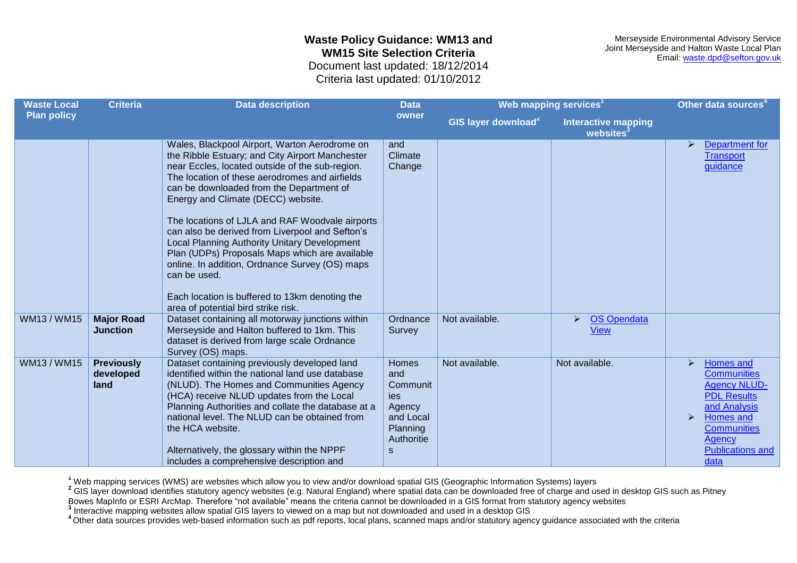Merseyside Environmental Advisory Service Joint Merseyside and Halton Waste Local Plan Email: [waste.dpd@sefton.gov.uk](mailto:waste.dpd@sefton.gov.uk)

Criteria last updated: 01/10/2012

| <b>Waste Local</b> | <b>Criteria</b>                        | <b>Data description</b>                                                                                                                                                                                                                                                                                                                                                                                                                                                                                                                                                                                                                                    | <b>Data</b>                                                                           | Web mapping services <sup>1</sup> |                                                            | Other data sources <sup>4</sup>                                                                                                                                                                                                       |
|--------------------|----------------------------------------|------------------------------------------------------------------------------------------------------------------------------------------------------------------------------------------------------------------------------------------------------------------------------------------------------------------------------------------------------------------------------------------------------------------------------------------------------------------------------------------------------------------------------------------------------------------------------------------------------------------------------------------------------------|---------------------------------------------------------------------------------------|-----------------------------------|------------------------------------------------------------|---------------------------------------------------------------------------------------------------------------------------------------------------------------------------------------------------------------------------------------|
| <b>Plan policy</b> |                                        |                                                                                                                                                                                                                                                                                                                                                                                                                                                                                                                                                                                                                                                            | owner                                                                                 | GIS layer download <sup>2</sup>   | <b>Interactive mapping</b><br>websites <sup>3</sup>        |                                                                                                                                                                                                                                       |
|                    |                                        | Wales, Blackpool Airport, Warton Aerodrome on<br>the Ribble Estuary; and City Airport Manchester<br>near Eccles, located outside of the sub-region.<br>The location of these aerodromes and airfields<br>can be downloaded from the Department of<br>Energy and Climate (DECC) website.<br>The locations of LJLA and RAF Woodvale airports<br>can also be derived from Liverpool and Sefton's<br>Local Planning Authority Unitary Development<br>Plan (UDPs) Proposals Maps which are available<br>online. In addition, Ordnance Survey (OS) maps<br>can be used.<br>Each location is buffered to 13km denoting the<br>area of potential bird strike risk. | and<br>Climate<br>Change                                                              |                                   |                                                            | Department for<br>➤<br><b>Transport</b><br>guidance                                                                                                                                                                                   |
| WM13/WM15          | <b>Major Road</b><br><b>Junction</b>   | Dataset containing all motorway junctions within<br>Merseyside and Halton buffered to 1km. This<br>dataset is derived from large scale Ordnance<br>Survey (OS) maps.                                                                                                                                                                                                                                                                                                                                                                                                                                                                                       | Ordnance<br>Survey                                                                    | Not available.                    | <b>OS Opendata</b><br>$\blacktriangleright$<br><b>View</b> |                                                                                                                                                                                                                                       |
| WM13/WM15          | <b>Previously</b><br>developed<br>land | Dataset containing previously developed land<br>identified within the national land use database<br>(NLUD). The Homes and Communities Agency<br>(HCA) receive NLUD updates from the Local<br>Planning Authorities and collate the database at a<br>national level. The NLUD can be obtained from<br>the HCA website.<br>Alternatively, the glossary within the NPPF<br>includes a comprehensive description and                                                                                                                                                                                                                                            | Homes<br>and<br>Communit<br>ies<br>Agency<br>and Local<br>Planning<br>Authoritie<br>S | Not available.                    | Not available.                                             | Homes and<br>$\blacktriangleright$<br><b>Communities</b><br><b>Agency NLUD-</b><br><b>PDL Results</b><br>and Analysis<br>$\blacktriangleright$<br>Homes and<br><b>Communities</b><br><b>Agency</b><br><b>Publications and</b><br>data |

**<sup>1</sup>** Web mapping services (WMS) are websites which allow you to view and/or download spatial GIS (Geographic Information Systems) layers

<sup>2</sup> GIS layer download identifies statutory agency websites (e.g. Natural England) where spatial data can be downloaded free of charge and used in desktop GIS such as Pitney

Bowes MapInfo or ESRI ArcMap. Therefore "not available" means the criteria cannot be downloaded in a GIS format from statutory agency websites

**3** Interactive mapping websites allow spatial GIS layers to viewed on a map but not downloaded and used in a desktop GIS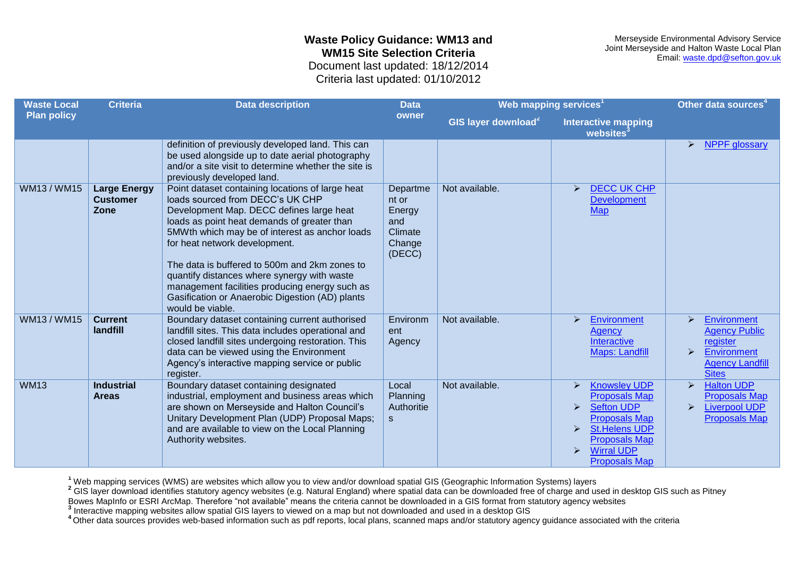Merseyside Environmental Advisory Service Joint Merseyside and Halton Waste Local Plan Email: [waste.dpd@sefton.gov.uk](mailto:waste.dpd@sefton.gov.uk)

Criteria last updated: 01/10/2012

| <b>Waste Local</b> | <b>Criteria</b>                                | <b>Data description</b>                                                                                                                                                                                                                                                                                                                                                                                                                                                                     | <b>Data</b>                                                       | Web mapping services <sup>1</sup> |                                                                                                                                                                                                                                                                                      | Other data sources <sup>4</sup>                                                                                                               |
|--------------------|------------------------------------------------|---------------------------------------------------------------------------------------------------------------------------------------------------------------------------------------------------------------------------------------------------------------------------------------------------------------------------------------------------------------------------------------------------------------------------------------------------------------------------------------------|-------------------------------------------------------------------|-----------------------------------|--------------------------------------------------------------------------------------------------------------------------------------------------------------------------------------------------------------------------------------------------------------------------------------|-----------------------------------------------------------------------------------------------------------------------------------------------|
| <b>Plan policy</b> |                                                |                                                                                                                                                                                                                                                                                                                                                                                                                                                                                             | owner                                                             | GIS layer download <sup>2</sup>   | <b>Interactive mapping</b><br>websites <sup>3</sup>                                                                                                                                                                                                                                  |                                                                                                                                               |
|                    |                                                | definition of previously developed land. This can<br>be used alongside up to date aerial photography<br>and/or a site visit to determine whether the site is<br>previously developed land.                                                                                                                                                                                                                                                                                                  |                                                                   |                                   |                                                                                                                                                                                                                                                                                      | <b>NPPF</b> glossary<br>➤                                                                                                                     |
| WM13/WM15          | <b>Large Energy</b><br><b>Customer</b><br>Zone | Point dataset containing locations of large heat<br>loads sourced from DECC's UK CHP<br>Development Map. DECC defines large heat<br>loads as point heat demands of greater than<br>5MWth which may be of interest as anchor loads<br>for heat network development.<br>The data is buffered to 500m and 2km zones to<br>quantify distances where synergy with waste<br>management facilities producing energy such as<br>Gasification or Anaerobic Digestion (AD) plants<br>would be viable. | Departme<br>nt or<br>Energy<br>and<br>Climate<br>Change<br>(DECC) | Not available.                    | <b>DECC UK CHP</b><br>$\blacktriangleright$<br><b>Development</b><br><b>Map</b>                                                                                                                                                                                                      |                                                                                                                                               |
| WM13/WM15          | <b>Current</b><br>landfill                     | Boundary dataset containing current authorised<br>landfill sites. This data includes operational and<br>closed landfill sites undergoing restoration. This<br>data can be viewed using the Environment<br>Agency's interactive mapping service or public<br>register.                                                                                                                                                                                                                       | Environm<br>ent<br>Agency                                         | Not available.                    | Environment<br>$\triangleright$<br>Agency<br>Interactive<br><b>Maps: Landfill</b>                                                                                                                                                                                                    | <b>Environment</b><br>⋗<br><b>Agency Public</b><br>register<br>Environment<br>$\blacktriangleright$<br><b>Agency Landfill</b><br><b>Sites</b> |
| <b>WM13</b>        | <b>Industrial</b><br><b>Areas</b>              | Boundary dataset containing designated<br>industrial, employment and business areas which<br>are shown on Merseyside and Halton Council's<br>Unitary Development Plan (UDP) Proposal Maps;<br>and are available to view on the Local Planning<br>Authority websites.                                                                                                                                                                                                                        | Local<br>Planning<br>Authoritie<br>$\mathsf{s}$                   | Not available.                    | <b>Knowsley UDP</b><br>$\blacktriangleright$<br><b>Proposals Map</b><br><b>Sefton UDP</b><br>$\blacktriangleright$<br><b>Proposals Map</b><br><b>St.Helens UDP</b><br>$\blacktriangleright$<br><b>Proposals Map</b><br><b>Wirral UDP</b><br>$\triangleright$<br><b>Proposals Map</b> | <b>Halton UDP</b><br>$\blacktriangleright$<br><b>Proposals Map</b><br><b>Liverpool UDP</b><br>$\blacktriangleright$<br><b>Proposals Map</b>   |

**<sup>1</sup>** Web mapping services (WMS) are websites which allow you to view and/or download spatial GIS (Geographic Information Systems) layers

<sup>2</sup> GIS layer download identifies statutory agency websites (e.g. Natural England) where spatial data can be downloaded free of charge and used in desktop GIS such as Pitney

Bowes MapInfo or ESRI ArcMap. Therefore "not available" means the criteria cannot be downloaded in a GIS format from statutory agency websites

**3** Interactive mapping websites allow spatial GIS layers to viewed on a map but not downloaded and used in a desktop GIS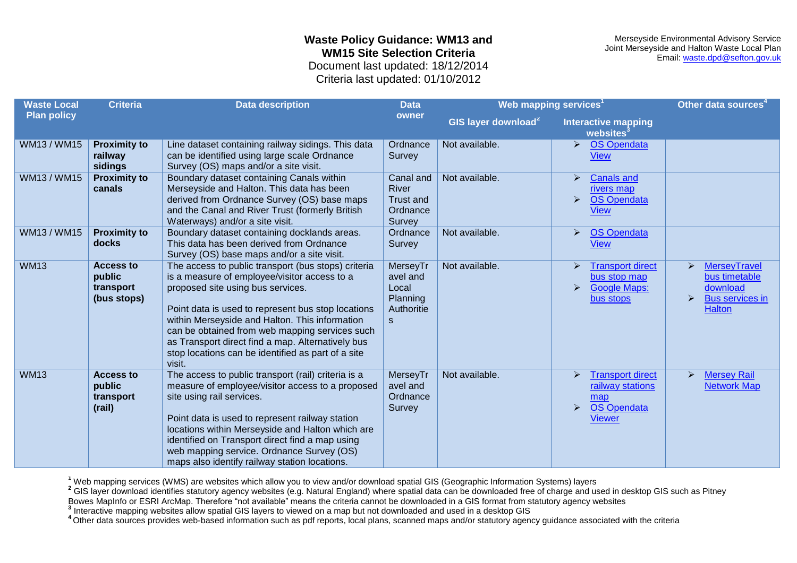Merseyside Environmental Advisory Service Joint Merseyside and Halton Waste Local Plan Email: [waste.dpd@sefton.gov.uk](mailto:waste.dpd@sefton.gov.uk)

Criteria last updated: 01/10/2012

| <b>Waste Local</b> | <b>Criteria</b>                                        | <b>Data description</b>                                                                                                                                                                                                                                                                                                                                                                                                 | <b>Data</b>                                                             | Web mapping services <sup>1</sup> |                                                                                                                  | Other data sources <sup>4</sup>                                                                                           |
|--------------------|--------------------------------------------------------|-------------------------------------------------------------------------------------------------------------------------------------------------------------------------------------------------------------------------------------------------------------------------------------------------------------------------------------------------------------------------------------------------------------------------|-------------------------------------------------------------------------|-----------------------------------|------------------------------------------------------------------------------------------------------------------|---------------------------------------------------------------------------------------------------------------------------|
| <b>Plan policy</b> |                                                        |                                                                                                                                                                                                                                                                                                                                                                                                                         | owner                                                                   | GIS layer download <sup>2</sup>   | <b>Interactive mapping</b><br>websites <sup>3</sup>                                                              |                                                                                                                           |
| WM13/WM15          | <b>Proximity to</b><br>railway<br>sidings              | Line dataset containing railway sidings. This data<br>can be identified using large scale Ordnance<br>Survey (OS) maps and/or a site visit.                                                                                                                                                                                                                                                                             | Ordnance<br>Survey                                                      | Not available.                    | <b>OS Opendata</b><br>⋗<br><b>View</b>                                                                           |                                                                                                                           |
| WM13 / WM15        | <b>Proximity to</b><br>canals                          | Boundary dataset containing Canals within<br>Merseyside and Halton. This data has been<br>derived from Ordnance Survey (OS) base maps<br>and the Canal and River Trust (formerly British<br>Waterways) and/or a site visit.                                                                                                                                                                                             | Canal and<br><b>River</b><br>Trust and<br>Ordnance<br>Survey            | Not available.                    | <b>Canals and</b><br>rivers map<br><b>OS Opendata</b><br>$\blacktriangleright$<br><b>View</b>                    |                                                                                                                           |
| WM13 / WM15        | <b>Proximity to</b><br>docks                           | Boundary dataset containing docklands areas.<br>This data has been derived from Ordnance<br>Survey (OS) base maps and/or a site visit.                                                                                                                                                                                                                                                                                  | Ordnance<br>Survey                                                      | Not available.                    | <b>OS Opendata</b><br>➤<br>View                                                                                  |                                                                                                                           |
| <b>WM13</b>        | <b>Access to</b><br>public<br>transport<br>(bus stops) | The access to public transport (bus stops) criteria<br>is a measure of employee/visitor access to a<br>proposed site using bus services.<br>Point data is used to represent bus stop locations<br>within Merseyside and Halton. This information<br>can be obtained from web mapping services such<br>as Transport direct find a map. Alternatively bus<br>stop locations can be identified as part of a site<br>visit. | MerseyTr<br>avel and<br>Local<br>Planning<br>Authoritie<br>$\mathbf{s}$ | Not available.                    | <b>Transport direct</b><br>⋗<br>bus stop map<br><b>Google Maps:</b><br>⋗<br>bus stops                            | <b>MerseyTravel</b><br>≻<br>bus timetable<br>download<br>$\blacktriangleright$<br><b>Bus services in</b><br><b>Halton</b> |
| <b>WM13</b>        | <b>Access to</b><br>public<br>transport<br>(rail)      | The access to public transport (rail) criteria is a<br>measure of employee/visitor access to a proposed<br>site using rail services.<br>Point data is used to represent railway station<br>locations within Merseyside and Halton which are<br>identified on Transport direct find a map using<br>web mapping service. Ordnance Survey (OS)<br>maps also identify railway station locations.                            | MerseyTr<br>avel and<br>Ordnance<br>Survey                              | Not available.                    | <b>Transport direct</b><br>⋗<br>railway stations<br>map<br><b>OS Opendata</b><br>$\blacktriangleright$<br>Viewer | <b>Mersey Rail</b><br>➤<br><b>Network Map</b>                                                                             |

**<sup>1</sup>** Web mapping services (WMS) are websites which allow you to view and/or download spatial GIS (Geographic Information Systems) layers

<sup>2</sup> GIS layer download identifies statutory agency websites (e.g. Natural England) where spatial data can be downloaded free of charge and used in desktop GIS such as Pitney

Bowes MapInfo or ESRI ArcMap. Therefore "not available" means the criteria cannot be downloaded in a GIS format from statutory agency websites

**3** Interactive mapping websites allow spatial GIS layers to viewed on a map but not downloaded and used in a desktop GIS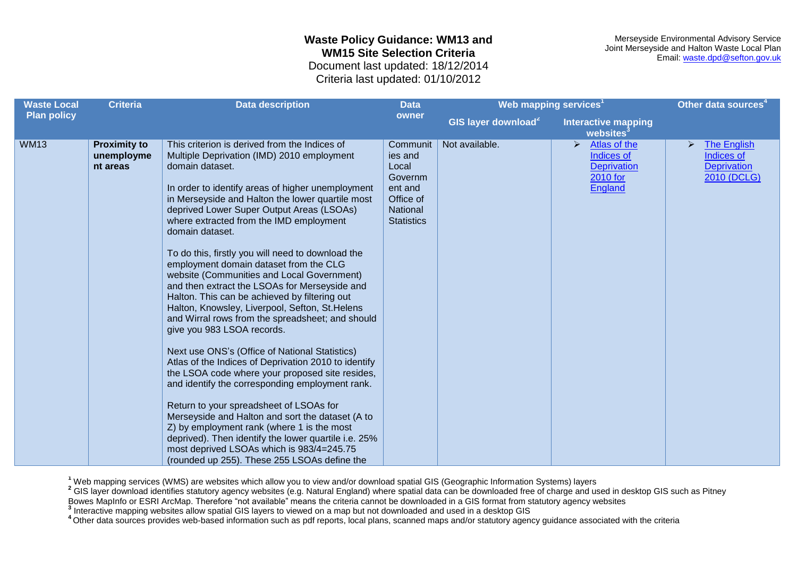Merseyside Environmental Advisory Service Joint Merseyside and Halton Waste Local Plan Email: [waste.dpd@sefton.gov.uk](mailto:waste.dpd@sefton.gov.uk)

Criteria last updated: 01/10/2012

| <b>Waste Local</b> | <b>Criteria</b>                               | <b>Data description</b>                                                                                                                                                                                                                                                                                                                                                                                                                                                                                                                                                                                                                                                                                                                                                                                                                                                                                                                                                                                                                                                                                                                                                                                                                 | <b>Data</b>                                                                                      | Web mapping services <sup>1</sup>                   |                                                                                                         | Other data sources <sup>4</sup>                                                         |
|--------------------|-----------------------------------------------|-----------------------------------------------------------------------------------------------------------------------------------------------------------------------------------------------------------------------------------------------------------------------------------------------------------------------------------------------------------------------------------------------------------------------------------------------------------------------------------------------------------------------------------------------------------------------------------------------------------------------------------------------------------------------------------------------------------------------------------------------------------------------------------------------------------------------------------------------------------------------------------------------------------------------------------------------------------------------------------------------------------------------------------------------------------------------------------------------------------------------------------------------------------------------------------------------------------------------------------------|--------------------------------------------------------------------------------------------------|-----------------------------------------------------|---------------------------------------------------------------------------------------------------------|-----------------------------------------------------------------------------------------|
| <b>Plan policy</b> |                                               | owner                                                                                                                                                                                                                                                                                                                                                                                                                                                                                                                                                                                                                                                                                                                                                                                                                                                                                                                                                                                                                                                                                                                                                                                                                                   | GIS layer download <sup>2</sup>                                                                  | <b>Interactive mapping</b><br>websites <sup>3</sup> |                                                                                                         |                                                                                         |
| <b>WM13</b>        | <b>Proximity to</b><br>unemployme<br>nt areas | This criterion is derived from the Indices of<br>Multiple Deprivation (IMD) 2010 employment<br>domain dataset.<br>In order to identify areas of higher unemployment<br>in Merseyside and Halton the lower quartile most<br>deprived Lower Super Output Areas (LSOAs)<br>where extracted from the IMD employment<br>domain dataset.<br>To do this, firstly you will need to download the<br>employment domain dataset from the CLG<br>website (Communities and Local Government)<br>and then extract the LSOAs for Merseyside and<br>Halton. This can be achieved by filtering out<br>Halton, Knowsley, Liverpool, Sefton, St.Helens<br>and Wirral rows from the spreadsheet; and should<br>give you 983 LSOA records.<br>Next use ONS's (Office of National Statistics)<br>Atlas of the Indices of Deprivation 2010 to identify<br>the LSOA code where your proposed site resides,<br>and identify the corresponding employment rank.<br>Return to your spreadsheet of LSOAs for<br>Merseyside and Halton and sort the dataset (A to<br>Z) by employment rank (where 1 is the most<br>deprived). Then identify the lower quartile i.e. 25%<br>most deprived LSOAs which is 983/4=245.75<br>(rounded up 255). These 255 LSOAs define the | Communit<br>ies and<br>Local<br>Governm<br>ent and<br>Office of<br>National<br><b>Statistics</b> | Not available.                                      | $\blacktriangleright$<br>Atlas of the<br>Indices of<br><b>Deprivation</b><br>2010 for<br><b>England</b> | The English<br>$\blacktriangleright$<br>Indices of<br><b>Deprivation</b><br>2010 (DCLG) |

**<sup>1</sup>** Web mapping services (WMS) are websites which allow you to view and/or download spatial GIS (Geographic Information Systems) layers

<sup>2</sup> GIS layer download identifies statutory agency websites (e.g. Natural England) where spatial data can be downloaded free of charge and used in desktop GIS such as Pitney

Bowes MapInfo or ESRI ArcMap. Therefore "not available" means the criteria cannot be downloaded in a GIS format from statutory agency websites

**3** Interactive mapping websites allow spatial GIS layers to viewed on a map but not downloaded and used in a desktop GIS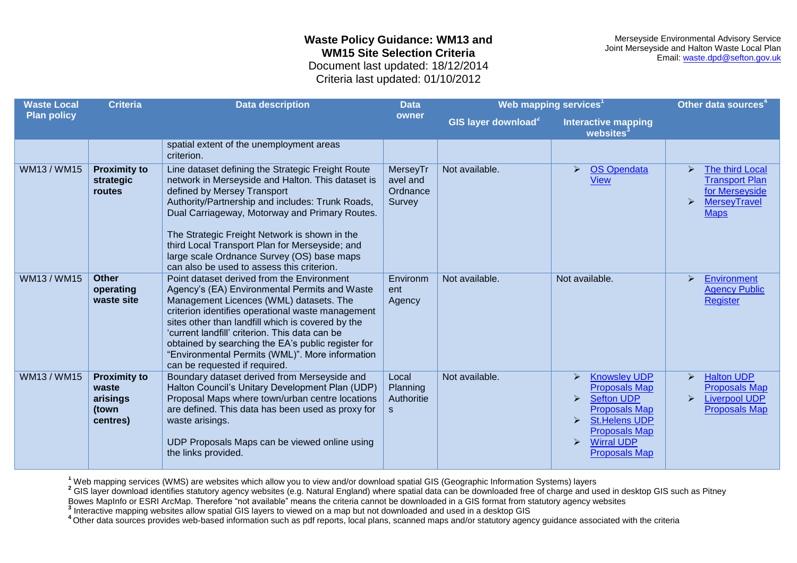Merseyside Environmental Advisory Service Joint Merseyside and Halton Waste Local Plan Email: [waste.dpd@sefton.gov.uk](mailto:waste.dpd@sefton.gov.uk)

Criteria last updated: 01/10/2012

| <b>Waste Local</b> | Web mapping services <sup>1</sup><br><b>Criteria</b><br><b>Data description</b><br><b>Data</b> |                                                                                                                                                                                                                                                                                                                                                                                                                                              |                                                 | Other data sources <sup>4</sup> |                                                                                                                                                                                                                                                                  |                                                                                                                                                    |
|--------------------|------------------------------------------------------------------------------------------------|----------------------------------------------------------------------------------------------------------------------------------------------------------------------------------------------------------------------------------------------------------------------------------------------------------------------------------------------------------------------------------------------------------------------------------------------|-------------------------------------------------|---------------------------------|------------------------------------------------------------------------------------------------------------------------------------------------------------------------------------------------------------------------------------------------------------------|----------------------------------------------------------------------------------------------------------------------------------------------------|
| <b>Plan policy</b> |                                                                                                |                                                                                                                                                                                                                                                                                                                                                                                                                                              | owner                                           | GIS layer download <sup>2</sup> | <b>Interactive mapping</b><br>websites <sup>3</sup>                                                                                                                                                                                                              |                                                                                                                                                    |
|                    |                                                                                                | spatial extent of the unemployment areas<br>criterion.                                                                                                                                                                                                                                                                                                                                                                                       |                                                 |                                 |                                                                                                                                                                                                                                                                  |                                                                                                                                                    |
| WM13 / WM15        | <b>Proximity to</b><br>strategic<br>routes                                                     | Line dataset defining the Strategic Freight Route<br>network in Merseyside and Halton. This dataset is<br>defined by Mersey Transport<br>Authority/Partnership and includes: Trunk Roads,<br>Dual Carriageway, Motorway and Primary Routes.<br>The Strategic Freight Network is shown in the<br>third Local Transport Plan for Merseyside; and<br>large scale Ordnance Survey (OS) base maps<br>can also be used to assess this criterion.   | MerseyTr<br>avel and<br>Ordnance<br>Survey      | Not available.                  | <b>OS Opendata</b><br>$\blacktriangleright$<br><b>View</b>                                                                                                                                                                                                       | The third Local<br>$\blacktriangleright$<br><b>Transport Plan</b><br>for Merseyside<br><b>MerseyTravel</b><br>$\blacktriangleright$<br><b>Maps</b> |
| WM13/WM15          | <b>Other</b><br>operating<br>waste site                                                        | Point dataset derived from the Environment<br>Agency's (EA) Environmental Permits and Waste<br>Management Licences (WML) datasets. The<br>criterion identifies operational waste management<br>sites other than landfill which is covered by the<br>'current landfill' criterion. This data can be<br>obtained by searching the EA's public register for<br>"Environmental Permits (WML)". More information<br>can be requested if required. | Environm<br>ent<br>Agency                       | Not available.                  | Not available.                                                                                                                                                                                                                                                   | Environment<br>➤<br><b>Agency Public</b><br><b>Register</b>                                                                                        |
| WM13 / WM15        | <b>Proximity to</b><br>waste<br>arisings<br>(town<br>centres)                                  | Boundary dataset derived from Merseyside and<br>Halton Council's Unitary Development Plan (UDP)<br>Proposal Maps where town/urban centre locations<br>are defined. This data has been used as proxy for<br>waste arisings.<br>UDP Proposals Maps can be viewed online using<br>the links provided.                                                                                                                                           | Local<br>Planning<br>Authoritie<br><sub>S</sub> | Not available.                  | <b>Knowsley UDP</b><br><b>Proposals Map</b><br><b>Sefton UDP</b><br>$\blacktriangleright$<br><b>Proposals Map</b><br><b>St.Helens UDP</b><br>$\blacktriangleright$<br><b>Proposals Map</b><br><b>Wirral UDP</b><br>$\blacktriangleright$<br><b>Proposals Map</b> | <b>Halton UDP</b><br>➤<br><b>Proposals Map</b><br><b>Liverpool UDP</b><br>$\blacktriangleright$<br><b>Proposals Map</b>                            |

**<sup>1</sup>** Web mapping services (WMS) are websites which allow you to view and/or download spatial GIS (Geographic Information Systems) layers

<sup>2</sup> GIS layer download identifies statutory agency websites (e.g. Natural England) where spatial data can be downloaded free of charge and used in desktop GIS such as Pitney

Bowes MapInfo or ESRI ArcMap. Therefore "not available" means the criteria cannot be downloaded in a GIS format from statutory agency websites

**3** Interactive mapping websites allow spatial GIS layers to viewed on a map but not downloaded and used in a desktop GIS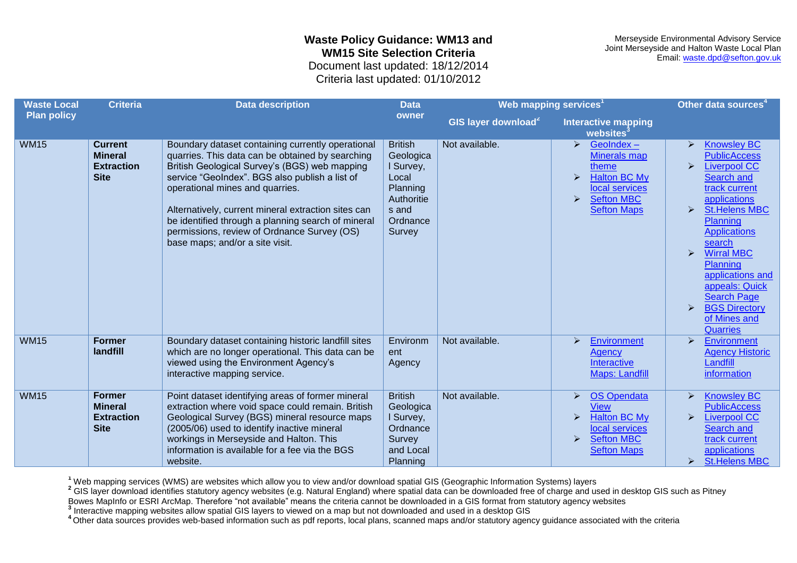Merseyside Environmental Advisory Service Joint Merseyside and Halton Waste Local Plan Email: [waste.dpd@sefton.gov.uk](mailto:waste.dpd@sefton.gov.uk)

Criteria last updated: 01/10/2012

| <b>Waste Local</b> | <b>Criteria</b>                                                      | <b>Data description</b>                                                                                                                                                                                                                                                                                                                                                                                                                    | <b>Data</b>                                                                                                | Web mapping services <sup>1</sup> |                                                                                                                                                          | Other data sources <sup>4</sup>                                                                                                                                                                                                                                                                                                                                                                                                                                                  |
|--------------------|----------------------------------------------------------------------|--------------------------------------------------------------------------------------------------------------------------------------------------------------------------------------------------------------------------------------------------------------------------------------------------------------------------------------------------------------------------------------------------------------------------------------------|------------------------------------------------------------------------------------------------------------|-----------------------------------|----------------------------------------------------------------------------------------------------------------------------------------------------------|----------------------------------------------------------------------------------------------------------------------------------------------------------------------------------------------------------------------------------------------------------------------------------------------------------------------------------------------------------------------------------------------------------------------------------------------------------------------------------|
| <b>Plan policy</b> |                                                                      |                                                                                                                                                                                                                                                                                                                                                                                                                                            | owner                                                                                                      | GIS layer download <sup>2</sup>   | <b>Interactive mapping</b><br>websites <sup>3</sup>                                                                                                      |                                                                                                                                                                                                                                                                                                                                                                                                                                                                                  |
| <b>WM15</b>        | <b>Current</b><br><b>Mineral</b><br><b>Extraction</b><br><b>Site</b> | Boundary dataset containing currently operational<br>quarries. This data can be obtained by searching<br>British Geological Survey's (BGS) web mapping<br>service "GeoIndex". BGS also publish a list of<br>operational mines and quarries.<br>Alternatively, current mineral extraction sites can<br>be identified through a planning search of mineral<br>permissions, review of Ordnance Survey (OS)<br>base maps; and/or a site visit. | <b>British</b><br>Geologica<br>I Survey,<br>Local<br>Planning<br>Authoritie<br>s and<br>Ordnance<br>Survey | Not available.                    | GeoIndex-<br>➤<br><b>Minerals map</b><br>theme<br><b>Halton BC My</b><br>ゝ<br>local services<br><b>Sefton MBC</b><br>➤<br><b>Sefton Maps</b>             | <b>Knowsley BC</b><br>$\blacktriangleright$<br><b>PublicAccess</b><br><b>Liverpool CC</b><br>$\blacktriangleright$<br>Search and<br>track current<br>applications<br><b>St.Helens MBC</b><br>$\blacktriangleright$<br><b>Planning</b><br><b>Applications</b><br>search<br><b>Wirral MBC</b><br>$\blacktriangleright$<br>Planning<br>applications and<br>appeals: Quick<br><b>Search Page</b><br><b>BGS Directory</b><br>$\blacktriangleright$<br>of Mines and<br><b>Quarries</b> |
| <b>WM15</b>        | <b>Former</b><br>landfill                                            | Boundary dataset containing historic landfill sites<br>which are no longer operational. This data can be<br>viewed using the Environment Agency's<br>interactive mapping service.                                                                                                                                                                                                                                                          | Environm<br>ent<br>Agency                                                                                  | Not available.                    | Environment<br>ゝ<br>Agency<br>Interactive<br><b>Maps: Landfill</b>                                                                                       | <b>Environment</b><br>⋗<br><b>Agency Historic</b><br>Landfill<br>information                                                                                                                                                                                                                                                                                                                                                                                                     |
| <b>WM15</b>        | <b>Former</b><br><b>Mineral</b><br><b>Extraction</b><br><b>Site</b>  | Point dataset identifying areas of former mineral<br>extraction where void space could remain. British<br>Geological Survey (BGS) mineral resource maps<br>(2005/06) used to identify inactive mineral<br>workings in Merseyside and Halton. This<br>information is available for a fee via the BGS<br>website.                                                                                                                            | <b>British</b><br>Geologica<br>I Survey,<br>Ordnance<br>Survey<br>and Local<br>Planning                    | Not available.                    | <b>OS Opendata</b><br>≻<br><b>View</b><br><b>Halton BC My</b><br>≻<br>local services<br><b>Sefton MBC</b><br>$\blacktriangleright$<br><b>Sefton Maps</b> | <b>Knowsley BC</b><br>➤<br><b>PublicAccess</b><br><b>Liverpool CC</b><br>$\blacktriangleright$<br>Search and<br>track current<br>applications<br><b>St.Helens MBC</b><br>➤                                                                                                                                                                                                                                                                                                       |

**<sup>1</sup>** Web mapping services (WMS) are websites which allow you to view and/or download spatial GIS (Geographic Information Systems) layers

<sup>2</sup> GIS layer download identifies statutory agency websites (e.g. Natural England) where spatial data can be downloaded free of charge and used in desktop GIS such as Pitney

Bowes MapInfo or ESRI ArcMap. Therefore "not available" means the criteria cannot be downloaded in a GIS format from statutory agency websites

**3** Interactive mapping websites allow spatial GIS layers to viewed on a map but not downloaded and used in a desktop GIS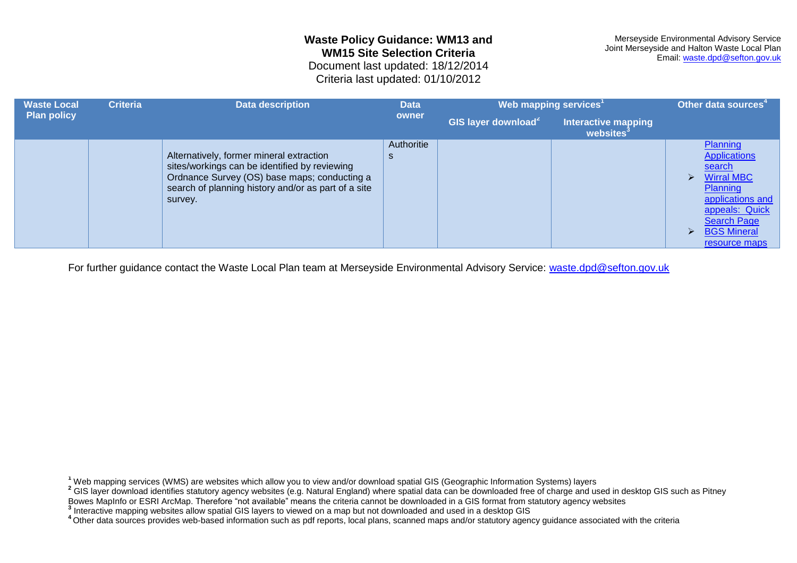<span id="page-19-0"></span>Criteria last updated: 01/10/2012

| <b>Waste Local</b> | <b>Criteria</b> | <b>Data description</b>                                                                                                                                                                                     | <b>Data</b>     | Web mapping services <sup>1</sup> |                                                     | Other data sources <sup>4</sup>                                                                                                                                                                             |
|--------------------|-----------------|-------------------------------------------------------------------------------------------------------------------------------------------------------------------------------------------------------------|-----------------|-----------------------------------|-----------------------------------------------------|-------------------------------------------------------------------------------------------------------------------------------------------------------------------------------------------------------------|
| <b>Plan policy</b> |                 |                                                                                                                                                                                                             | owner           | GIS layer download <sup>2</sup>   | <b>Interactive mapping</b><br>websites <sup>3</sup> |                                                                                                                                                                                                             |
|                    |                 | Alternatively, former mineral extraction<br>sites/workings can be identified by reviewing<br>Ordnance Survey (OS) base maps; conducting a<br>search of planning history and/or as part of a site<br>survey. | Authoritie<br>S |                                   |                                                     | Planning<br><b>Applications</b><br>search<br><b>Wirral MBC</b><br>↘<br>Planning<br>applications and<br>appeals: Quick<br><b>Search Page</b><br><b>BGS Mineral</b><br>$\blacktriangleright$<br>resource maps |

For further guidance contact the Waste Local Plan team at Merseyside Environmental Advisory Service: [waste.dpd@sefton.gov.uk](mailto:waste.dpd@sefton.gov.uk)

**<sup>1</sup>** Web mapping services (WMS) are websites which allow you to view and/or download spatial GIS (Geographic Information Systems) layers

<sup>2</sup> GIS layer download identifies statutory agency websites (e.g. Natural England) where spatial data can be downloaded free of charge and used in desktop GIS such as Pitney

Bowes MapInfo or ESRI ArcMap. Therefore "not available" means the criteria cannot be downloaded in a GIS format from statutory agency websites

**3** Interactive mapping websites allow spatial GIS layers to viewed on a map but not downloaded and used in a desktop GIS

<sup>&</sup>lt;sup>4</sup>Other data sources provides web-based information such as pdf reports, local plans, scanned maps and/or statutory agency guidance associated with the criteria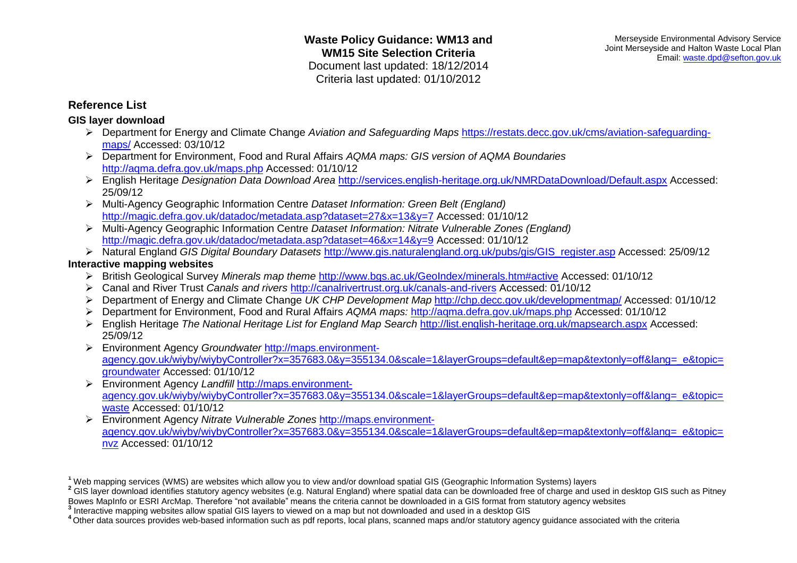## **Reference List**

## **GIS layer download**

- Department for Energy and Climate Change *Aviation and Safeguarding Maps* [https://restats.decc.gov.uk/cms/aviation-safeguarding](https://restats.decc.gov.uk/cms/aviation-safeguarding-maps/)[maps/](https://restats.decc.gov.uk/cms/aviation-safeguarding-maps/) Accessed: 03/10/12
- Department for Environment, Food and Rural Affairs *AQMA maps: GIS version of AQMA Boundaries*  <http://aqma.defra.gov.uk/maps.php> Accessed: 01/10/12
- English Heritage *Designation Data Download Area* <http://services.english-heritage.org.uk/NMRDataDownload/Default.aspx> Accessed: 25/09/12
- Multi-Agency Geographic Information Centre *Dataset Information: Green Belt (England)* <http://magic.defra.gov.uk/datadoc/metadata.asp?dataset=27&x=13&y=7> Accessed: 01/10/12
- Multi-Agency Geographic Information Centre *Dataset Information: Nitrate Vulnerable Zones (England)* <http://magic.defra.gov.uk/datadoc/metadata.asp?dataset=46&x=14&y=9> Accessed: 01/10/12
- Natural England *GIS Digital Boundary Datasets* [http://www.gis.naturalengland.org.uk/pubs/gis/GIS\\_register.asp](http://www.gis.naturalengland.org.uk/pubs/gis/GIS_register.asp) Accessed: 25/09/12

### **Interactive mapping websites**

- British Geological Survey *Minerals map theme* <http://www.bgs.ac.uk/GeoIndex/minerals.htm#active> Accessed: 01/10/12
- Canal and River Trust *Canals and rivers* <http://canalrivertrust.org.uk/canals-and-rivers> Accessed: 01/10/12
- Department of Energy and Climate Change *UK CHP Development Map* <http://chp.decc.gov.uk/developmentmap/> Accessed: 01/10/12
- Department for Environment, Food and Rural Affairs *AQMA maps:* <http://aqma.defra.gov.uk/maps.php> Accessed: 01/10/12
- English Heritage *The National Heritage List for England Map Search* <http://list.english-heritage.org.uk/mapsearch.aspx> Accessed: 25/09/12
- Environment Agency *Groundwater* [http://maps.environment](http://maps.environment-agency.gov.uk/wiyby/wiybyController?x=357683.0&y=355134.0&scale=1&layerGroups=default&ep=map&textonly=off&lang=_e&topic=groundwater)[agency.gov.uk/wiyby/wiybyController?x=357683.0&y=355134.0&scale=1&layerGroups=default&ep=map&textonly=off&lang=\\_e&topic=](http://maps.environment-agency.gov.uk/wiyby/wiybyController?x=357683.0&y=355134.0&scale=1&layerGroups=default&ep=map&textonly=off&lang=_e&topic=groundwater) [groundwater](http://maps.environment-agency.gov.uk/wiyby/wiybyController?x=357683.0&y=355134.0&scale=1&layerGroups=default&ep=map&textonly=off&lang=_e&topic=groundwater) Accessed: 01/10/12
- Environment Agency *Landfill* [http://maps.environment](http://maps.environment-agency.gov.uk/wiyby/wiybyController?x=357683.0&y=355134.0&scale=1&layerGroups=default&ep=map&textonly=off&lang=_e&topic=waste)[agency.gov.uk/wiyby/wiybyController?x=357683.0&y=355134.0&scale=1&layerGroups=default&ep=map&textonly=off&lang=\\_e&topic=](http://maps.environment-agency.gov.uk/wiyby/wiybyController?x=357683.0&y=355134.0&scale=1&layerGroups=default&ep=map&textonly=off&lang=_e&topic=waste) [waste](http://maps.environment-agency.gov.uk/wiyby/wiybyController?x=357683.0&y=355134.0&scale=1&layerGroups=default&ep=map&textonly=off&lang=_e&topic=waste) Accessed: 01/10/12
- Environment Agency *Nitrate Vulnerable Zones* [http://maps.environment](http://maps.environment-agency.gov.uk/wiyby/wiybyController?x=357683.0&y=355134.0&scale=1&layerGroups=default&ep=map&textonly=off&lang=_e&topic=nvz)[agency.gov.uk/wiyby/wiybyController?x=357683.0&y=355134.0&scale=1&layerGroups=default&ep=map&textonly=off&lang=\\_e&topic=](http://maps.environment-agency.gov.uk/wiyby/wiybyController?x=357683.0&y=355134.0&scale=1&layerGroups=default&ep=map&textonly=off&lang=_e&topic=nvz) [nvz](http://maps.environment-agency.gov.uk/wiyby/wiybyController?x=357683.0&y=355134.0&scale=1&layerGroups=default&ep=map&textonly=off&lang=_e&topic=nvz) Accessed: 01/10/12

**<sup>1</sup>** Web mapping services (WMS) are websites which allow you to view and/or download spatial GIS (Geographic Information Systems) layers

<sup>&</sup>lt;sup>2</sup> GIS layer download identifies statutory agency websites (e.g. Natural England) where spatial data can be downloaded free of charge and used in desktop GIS such as Pitney Bowes MapInfo or ESRI ArcMap. Therefore "not available" means the criteria cannot be downloaded in a GIS format from statutory agency websites

**<sup>3</sup>** Interactive mapping websites allow spatial GIS layers to viewed on a map but not downloaded and used in a desktop GIS

**<sup>4</sup>**Other data sources provides web-based information such as pdf reports, local plans, scanned maps and/or statutory agency guidance associated with the criteria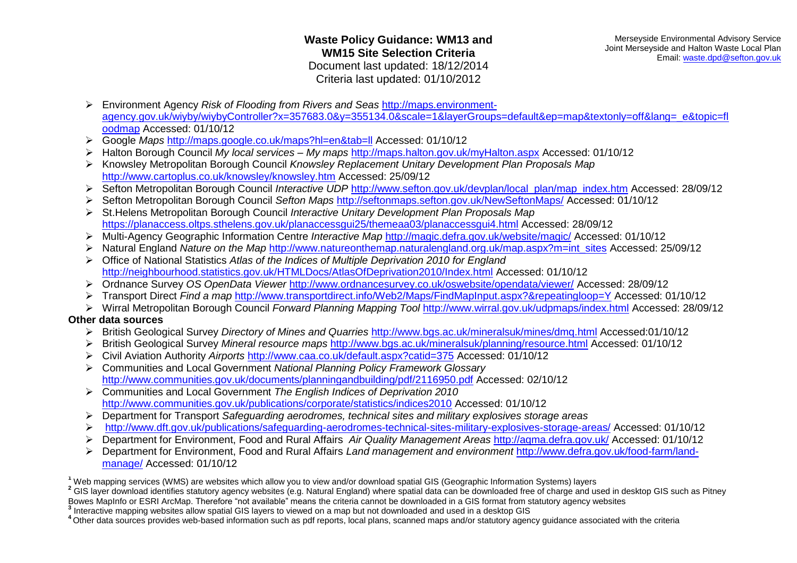- Environment Agency *Risk of Flooding from Rivers and Seas* [http://maps.environment](http://maps.environment-agency.gov.uk/wiyby/wiybyController?x=357683.0&y=355134.0&scale=1&layerGroups=default&ep=map&textonly=off&lang=_e&topic=floodmap)[agency.gov.uk/wiyby/wiybyController?x=357683.0&y=355134.0&scale=1&layerGroups=default&ep=map&textonly=off&lang=\\_e&topic=fl](http://maps.environment-agency.gov.uk/wiyby/wiybyController?x=357683.0&y=355134.0&scale=1&layerGroups=default&ep=map&textonly=off&lang=_e&topic=floodmap) [oodmap](http://maps.environment-agency.gov.uk/wiyby/wiybyController?x=357683.0&y=355134.0&scale=1&layerGroups=default&ep=map&textonly=off&lang=_e&topic=floodmap) Accessed: 01/10/12
- Google *Maps* <http://maps.google.co.uk/maps?hl=en&tab=ll> Accessed: 01/10/12
- Halton Borough Council *My local services – My maps* <http://maps.halton.gov.uk/myHalton.aspx> Accessed: 01/10/12
- Knowsley Metropolitan Borough Council *Knowsley Replacement Unitary Development Plan Proposals Map* <http://www.cartoplus.co.uk/knowsley/knowsley.htm> Accessed: 25/09/12
- Sefton Metropolitan Borough Council *Interactive UDP* [http://www.sefton.gov.uk/devplan/local\\_plan/map\\_index.htm](http://www.sefton.gov.uk/devplan/local_plan/map_index.htm) Accessed: 28/09/12
- Sefton Metropolitan Borough Council *Sefton Maps* <http://seftonmaps.sefton.gov.uk/NewSeftonMaps/> Accessed: 01/10/12
- St.Helens Metropolitan Borough Council *Interactive Unitary Development Plan Proposals Map*  <https://planaccess.oltps.sthelens.gov.uk/planaccessgui25/themeaa03/planaccessgui4.html> Accessed: 28/09/12
- Multi-Agency Geographic Information Centre *Interactive Map* <http://magic.defra.gov.uk/website/magic/> Accessed: 01/10/12
- Natural England *Nature on the Map* [http://www.natureonthemap.naturalengland.org.uk/map.aspx?m=int\\_sites](http://www.natureonthemap.naturalengland.org.uk/map.aspx?m=int_sites) Accessed: 25/09/12
- Office of National Statistics *Atlas of the Indices of Multiple Deprivation 2010 for England*  <http://neighbourhood.statistics.gov.uk/HTMLDocs/AtlasOfDeprivation2010/Index.html> Accessed: 01/10/12
- Ordnance Survey *OS OpenData Viewer* <http://www.ordnancesurvey.co.uk/oswebsite/opendata/viewer/> Accessed: 28/09/12
- Transport Direct *Find a map* <http://www.transportdirect.info/Web2/Maps/FindMapInput.aspx?&repeatingloop=Y> Accessed: 01/10/12
- Wirral Metropolitan Borough Council *Forward Planning Mapping Tool* <http://www.wirral.gov.uk/udpmaps/index.html> Accessed: 28/09/12

### **Other data sources**

- British Geological Survey *Directory of Mines and Quarries* <http://www.bgs.ac.uk/mineralsuk/mines/dmq.html> Accessed:01/10/12
- British Geological Survey *Mineral resource maps* <http://www.bgs.ac.uk/mineralsuk/planning/resource.html> Accessed: 01/10/12
- Civil Aviation Authority *Airports* <http://www.caa.co.uk/default.aspx?catid=375> Accessed: 01/10/12
- Communities and Local Government *National Planning Policy Framework Glossary*  <http://www.communities.gov.uk/documents/planningandbuilding/pdf/2116950.pdf> Accessed: 02/10/12
- Communities and Local Government *The English Indices of Deprivation 2010*  <http://www.communities.gov.uk/publications/corporate/statistics/indices2010> Accessed: 01/10/12
- Department for Transport *Safeguarding aerodromes, technical sites and military explosives storage areas*
- <http://www.dft.gov.uk/publications/safeguarding-aerodromes-technical-sites-military-explosives-storage-areas/> Accessed: 01/10/12
- Department for Environment, Food and Rural Affairs *Air Quality Management Areas* <http://aqma.defra.gov.uk/> Accessed: 01/10/12
- Department for Environment, Food and Rural Affairs *Land management and environment* [http://www.defra.gov.uk/food-farm/land](http://www.defra.gov.uk/food-farm/land-manage/)[manage/](http://www.defra.gov.uk/food-farm/land-manage/) Accessed: 01/10/12
- **<sup>1</sup>** Web mapping services (WMS) are websites which allow you to view and/or download spatial GIS (Geographic Information Systems) layers

<sup>2</sup> GIS layer download identifies statutory agency websites (e.g. Natural England) where spatial data can be downloaded free of charge and used in desktop GIS such as Pitney

- Bowes MapInfo or ESRI ArcMap. Therefore "not available" means the criteria cannot be downloaded in a GIS format from statutory agency websites
- **3** Interactive mapping websites allow spatial GIS layers to viewed on a map but not downloaded and used in a desktop GIS
- **<sup>4</sup>**Other data sources provides web-based information such as pdf reports, local plans, scanned maps and/or statutory agency guidance associated with the criteria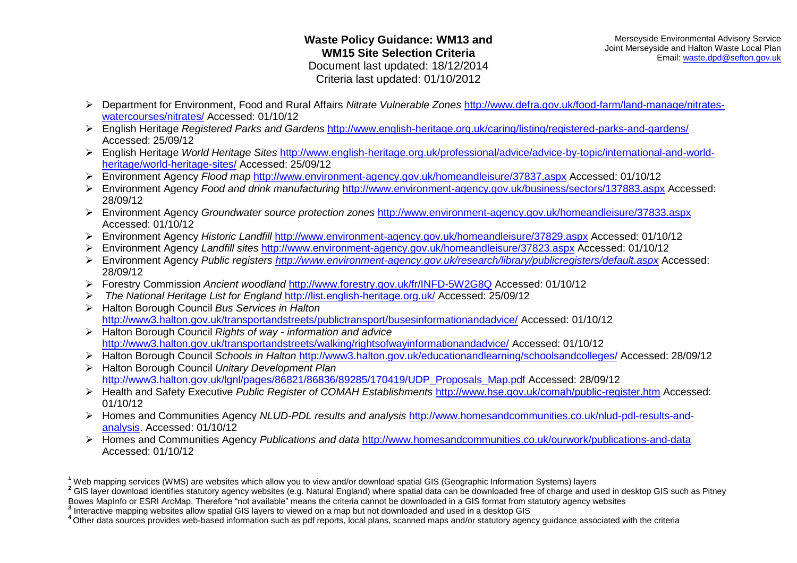- Department for Environment, Food and Rural Affairs *Nitrate Vulnerable Zones* [http://www.defra.gov.uk/food-farm/land-manage/nitrates](http://www.defra.gov.uk/food-farm/land-manage/nitrates-watercourses/nitrates/)[watercourses/nitrates/](http://www.defra.gov.uk/food-farm/land-manage/nitrates-watercourses/nitrates/) Accessed: 01/10/12
- English Heritage *Registered Parks and Gardens* <http://www.english-heritage.org.uk/caring/listing/registered-parks-and-gardens/> Accessed: 25/09/12
- English Heritage *World Heritage Sites* [http://www.english-heritage.org.uk/professional/advice/advice-by-topic/international-and-world](http://www.english-heritage.org.uk/professional/advice/advice-by-topic/international-and-world-heritage/world-heritage-sites/)[heritage/world-heritage-sites/](http://www.english-heritage.org.uk/professional/advice/advice-by-topic/international-and-world-heritage/world-heritage-sites/) Accessed: 25/09/12
- Environment Agency *Flood map* <http://www.environment-agency.gov.uk/homeandleisure/37837.aspx> Accessed: 01/10/12
- Environment Agency *Food and drink manufacturing* <http://www.environment-agency.gov.uk/business/sectors/137883.aspx> Accessed: 28/09/12
- Environment Agency *Groundwater source protection zones* <http://www.environment-agency.gov.uk/homeandleisure/37833.aspx> Accessed: 01/10/12
- Environment Agency *Historic Landfill* <http://www.environment-agency.gov.uk/homeandleisure/37829.aspx> Accessed: 01/10/12
- Environment Agency *Landfill sites* <http://www.environment-agency.gov.uk/homeandleisure/37823.aspx> Accessed: 01/10/12
- Environment Agency *Public registers<http://www.environment-agency.gov.uk/research/library/publicregisters/default.aspx>* Accessed: 28/09/12
- Forestry Commission *Ancient woodland* <http://www.forestry.gov.uk/fr/INFD-5W2G8Q> Accessed: 01/10/12
- *The National Heritage List for England* <http://list.english-heritage.org.uk/> Accessed: 25/09/12
- Halton Borough Council *Bus Services in Halton* <http://www3.halton.gov.uk/transportandstreets/publictransport/busesinformationandadvice/> Accessed: 01/10/12
- Halton Borough Council *Rights of way - information and advice* <http://www3.halton.gov.uk/transportandstreets/walking/rightsofwayinformationandadvice/> Accessed: 01/10/12
- Halton Borough Council *Schools in Halton* <http://www3.halton.gov.uk/educationandlearning/schoolsandcolleges/> Accessed: 28/09/12
- Halton Borough Council *Unitary Development Plan*  [http://www3.halton.gov.uk/lgnl/pages/86821/86836/89285/170419/UDP\\_Proposals\\_Map.pdf](http://www3.halton.gov.uk/lgnl/pages/86821/86836/89285/170419/UDP_Proposals_Map.pdf) Accessed: 28/09/12
- Health and Safety Executive *Public Register of COMAH Establishments* <http://www.hse.gov.uk/comah/public-register.htm> Accessed: 01/10/12
- Homes and Communities Agency *NLUD-PDL results and analysis* [http://www.homesandcommunities.co.uk/nlud-pdl-results-and](http://www.homesandcommunities.co.uk/nlud-pdl-results-and-analysis)[analysis.](http://www.homesandcommunities.co.uk/nlud-pdl-results-and-analysis) Accessed: 01/10/12
- Homes and Communities Agency *Publications and data* <http://www.homesandcommunities.co.uk/ourwork/publications-and-data> Accessed: 01/10/12

<sup>2</sup> GIS layer download identifies statutory agency websites (e.g. Natural England) where spatial data can be downloaded free of charge and used in desktop GIS such as Pitney Bowes MapInfo or ESRI ArcMap. Therefore "not available" means the criteria cannot be downloaded in a GIS format from statutory agency websites

**<sup>1</sup>** Web mapping services (WMS) are websites which allow you to view and/or download spatial GIS (Geographic Information Systems) layers

**<sup>3</sup>** Interactive mapping websites allow spatial GIS layers to viewed on a map but not downloaded and used in a desktop GIS

**<sup>4</sup>**Other data sources provides web-based information such as pdf reports, local plans, scanned maps and/or statutory agency guidance associated with the criteria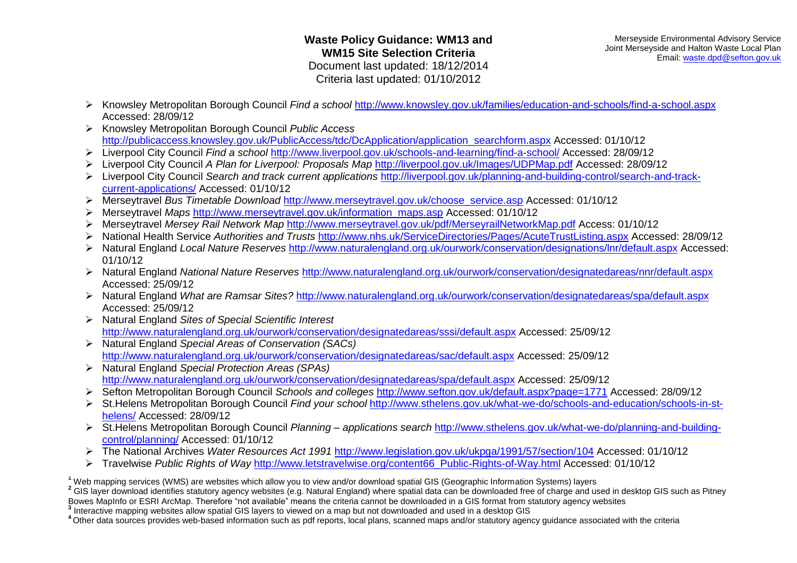- Knowsley Metropolitan Borough Council *Find a school* <http://www.knowsley.gov.uk/families/education-and-schools/find-a-school.aspx> Accessed: 28/09/12
- Knowsley Metropolitan Borough Council *Public Access*  [http://publicaccess.knowsley.gov.uk/PublicAccess/tdc/DcApplication/application\\_searchform.aspx](http://publicaccess.knowsley.gov.uk/PublicAccess/tdc/DcApplication/application_searchform.aspx) Accessed: 01/10/12
- Liverpool City Council *Find a school* <http://www.liverpool.gov.uk/schools-and-learning/find-a-school/> Accessed: 28/09/12
- Liverpool City Council *A Plan for Liverpool: Proposals Map* <http://liverpool.gov.uk/Images/UDPMap.pdf> Accessed: 28/09/12
- Liverpool City Council *Search and track current applications* [http://liverpool.gov.uk/planning-and-building-control/search-and-track](http://liverpool.gov.uk/planning-and-building-control/search-and-track-current-applications/)[current-applications/](http://liverpool.gov.uk/planning-and-building-control/search-and-track-current-applications/) Accessed: 01/10/12
- Merseytravel *Bus Timetable Download* [http://www.merseytravel.gov.uk/choose\\_service.asp](http://www.merseytravel.gov.uk/choose_service.asp) Accessed: 01/10/12
- Merseytravel *Maps* [http://www.merseytravel.gov.uk/information\\_maps.asp](http://www.merseytravel.gov.uk/information_maps.asp) Accessed: 01/10/12
- Merseytravel *Mersey Rail Network Map* <http://www.merseytravel.gov.uk/pdf/MerseyrailNetworkMap.pdf> Access: 01/10/12
- National Health Service *Authorities and Trusts* <http://www.nhs.uk/ServiceDirectories/Pages/AcuteTrustListing.aspx> Accessed: 28/09/12
- Natural England *Local Nature Reserves* <http://www.naturalengland.org.uk/ourwork/conservation/designations/lnr/default.aspx> Accessed: 01/10/12
- Natural England *National Nature Reserves* <http://www.naturalengland.org.uk/ourwork/conservation/designatedareas/nnr/default.aspx> Accessed: 25/09/12
- Natural England *What are Ramsar Sites?* <http://www.naturalengland.org.uk/ourwork/conservation/designatedareas/spa/default.aspx> Accessed: 25/09/12
- Natural England *Sites of Special Scientific Interest*  <http://www.naturalengland.org.uk/ourwork/conservation/designatedareas/sssi/default.aspx> Accessed: 25/09/12
- Natural England *Special Areas of Conservation (SACs)* <http://www.naturalengland.org.uk/ourwork/conservation/designatedareas/sac/default.aspx> Accessed: 25/09/12
- Natural England *Special Protection Areas (SPAs)* <http://www.naturalengland.org.uk/ourwork/conservation/designatedareas/spa/default.aspx> Accessed: 25/09/12
- Sefton Metropolitan Borough Council *Schools and colleges* <http://www.sefton.gov.uk/default.aspx?page=1771> Accessed: 28/09/12
- St.Helens Metropolitan Borough Council *Find your school* [http://www.sthelens.gov.uk/what-we-do/schools-and-education/schools-in-st](http://www.sthelens.gov.uk/what-we-do/schools-and-education/schools-in-st-helens/)[helens/](http://www.sthelens.gov.uk/what-we-do/schools-and-education/schools-in-st-helens/) Accessed: 28/09/12
- St.Helens Metropolitan Borough Council *Planning – applications search* [http://www.sthelens.gov.uk/what-we-do/planning-and-building](http://www.sthelens.gov.uk/what-we-do/planning-and-building-control/planning/)[control/planning/](http://www.sthelens.gov.uk/what-we-do/planning-and-building-control/planning/) Accessed: 01/10/12
- The National Archives *Water Resources Act 1991* <http://www.legislation.gov.uk/ukpga/1991/57/section/104> Accessed: 01/10/12
- Travelwise *Public Rights of Way* [http://www.letstravelwise.org/content66\\_Public-Rights-of-Way.html](http://www.letstravelwise.org/content66_Public-Rights-of-Way.html) Accessed: 01/10/12

<sup>2</sup> GIS layer download identifies statutory agency websites (e.g. Natural England) where spatial data can be downloaded free of charge and used in desktop GIS such as Pitney

Bowes MapInfo or ESRI ArcMap. Therefore "not available" means the criteria cannot be downloaded in a GIS format from statutory agency websites

**<sup>1</sup>** Web mapping services (WMS) are websites which allow you to view and/or download spatial GIS (Geographic Information Systems) layers

**<sup>3</sup>** Interactive mapping websites allow spatial GIS layers to viewed on a map but not downloaded and used in a desktop GIS

**<sup>4</sup>**Other data sources provides web-based information such as pdf reports, local plans, scanned maps and/or statutory agency guidance associated with the criteria